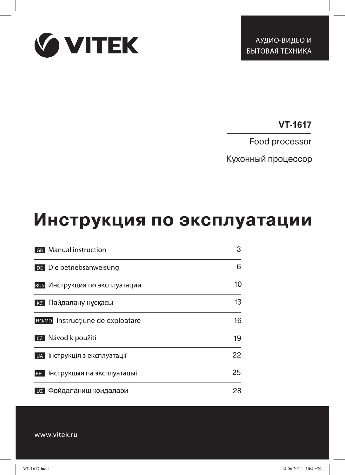

**VT-1617** 

Food processor

Кухонный процессор

# Инструкция по эксплуатации

| <b>GB</b> Manual instruction          | 3  |
|---------------------------------------|----|
| DE Die betriebsanweisung              | 6  |
| RUS Инструкция по эксплуатации        | 10 |
| кz Пайдалану нұсқасы                  | 13 |
| RO/MD Instrucțiune de exploatare      | 16 |
| cz Návod k použití                    | 19 |
| и и нструкція з експлуатації          | 22 |
| <b>ВЕL</b> Інструкцыя па эксплуатацыі | 25 |
| Фойдаланиш қоидалари<br>UZ.           | 28 |

www.vitek.ru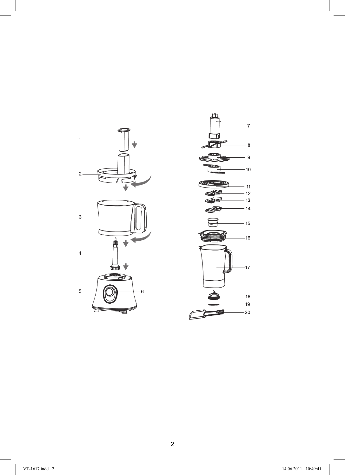

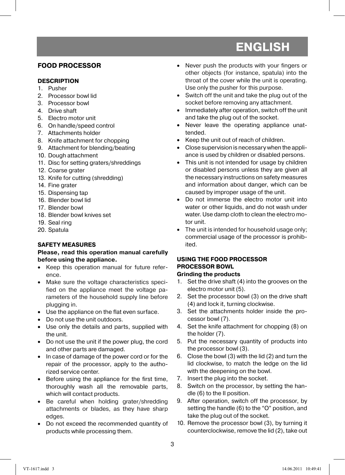# **ENGLISH**

## **FOOD PROCESSOR**

## **DESCRIPTION**

- 1. Pusher
- 2. Processor bowl lid
- 3. Processor bowl
- 4. Drive shaft
- 5. Electro motor unit
- 6. On handle/speed control
- 7. Attachments holder
- 8. Knife attachment for chopping
- 9. Attachment for blending/beating
- 10. Dough attachment
- 11. Disc for setting graters/shreddings
- 12. Coarse grater
- 13. Knife for cutting (shredding)
- 14. Fine grater
- 15. Dispensing tap
- 16. Blender bowl lid
- 17. Blender bowl
- 18. Blender bowl knives set
- 19. Seal ring
- 20. Spatula

## **SAFETY MEASURES**

## **Please, read this operation manual carefully before using the appliance.**

- Keep this operation manual for future reference.
- Make sure the voltage characteristics specified on the appliance meet the voltage parameters of the household supply line before plugging in.
- Use the appliance on the flat even surface.
- Do not use the unit outdoors.
- Use only the details and parts, supplied with the unit.
- Do not use the unit if the power plug, the cord and other parts are damaged.
- In case of damage of the power cord or for the repair of the processor, apply to the authorized service center.
- Before using the appliance for the first time, thoroughly wash all the removable parts, which will contact products.
- Be careful when holding grater/shredding attachments or blades, as they have sharp edges.
- Do not exceed the recommended quantity of products while processing them.
- Never push the products with your fingers or other objects (for instance, spatula) into the throat of the cover while the unit is operating. Use only the pusher for this purpose.
- Switch off the unit and take the plug out of the socket before removing any attachment.
- Immediately after operation, switch off the unit and take the plug out of the socket.
- Never leave the operating appliance unattended.
- Keep the unit out of reach of children.
- Close supervision is necessary when the appliance is used by children or disabled persons.
- This unit is not intended for usage by children or disabled persons unless they are given all the necessary instructions on safety measures and information about danger, which can be caused by improper usage of the unit.
- Do not immerse the electro motor unit into water or other liquids, and do not wash under water. Use damp cloth to clean the electro motor unit.
- The unit is intended for household usage only; commercial usage of the processor is prohibited.

## **USING THE FOOD PROCESSOR PROCESSOR BOWL**

## **Grinding the products**

- 1. Set the drive shaft (4) into the grooves on the electro motor unit (5).
- 2. Set the processor bowl (3) on the drive shaft (4) and lock it, turning clockwise.
- 3. Set the attachments holder inside the processor bowl (7).
- 4. Set the knife attachment for chopping (8) on the holder (7).
- 5. Put the necessary quantity of products into the processor bowl (3).
- 6. Close the bowl (3) with the lid (2) and turn the lid clockwise, to match the ledge on the lid with the deepening on the bowl.
- 7. Insert the plug into the socket.
- 8. Switch on the processor, by setting the handle (6) to the II position.
- 9. After operation, switch off the processor, by setting the handle (6) to the "O" position, and take the plug out of the socket.
- 10. Remove the processor bowl (3), by turning it counterclockwise, remove the lid (2), take out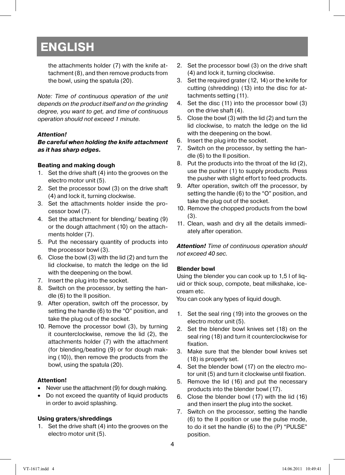## **ENGLISH**

the attachments holder (7) with the knife attachment (8), and then remove products from the bowl, using the spatula (20).

Note: Time of continuous operation of the unit depends on the product itself and on the grinding degree, you want to get, and time of continuous operation should not exceed 1 minute.

## *Attention!*

*Be careful when holding the knife attachment as it has sharp edges.*

### **Beating and making dough**

- 1. Set the drive shaft (4) into the grooves on the electro motor unit (5).
- 2. Set the processor bowl (3) on the drive shaft (4) and lock it, turning clockwise.
- 3. Set the attachments holder inside the processor bowl (7).
- 4. Set the attachment for blending/ beating (9) or the dough attachment (10) on the attachments holder (7).
- 5. Put the necessary quantity of products into the processor bowl (3).
- 6. Close the bowl (3) with the lid (2) and turn the lid clockwise, to match the ledge on the lid with the deepening on the bowl.
- 7. Insert the plug into the socket.
- 8. Switch on the processor, by setting the handle (6) to the II position.
- 9. After operation, switch off the processor, by setting the handle (6) to the "O" position, and take the plug out of the socket.
- 10. Remove the processor bowl (3), by turning it counterclockwise, remove the lid (2), the attachments holder (7) with the attachment (for blending/beating (9) or for dough making (10)), then remove the products from the bowl, using the spatula (20).

## **Attention!**

- Never use the attachment (9) for dough making.
- Do not exceed the quantity of liquid products in order to avoid splashing.

## **Using graters/shreddings**

1. Set the drive shaft (4) into the grooves on the electro motor unit (5).

- 2. Set the processor bowl (3) on the drive shaft (4) and lock it, turning clockwise.
- 3. Set the required grater (12, 14) or the knife for cutting (shredding) (13) into the disc for attachments setting (11).
- 4. Set the disc (11) into the processor bowl (3) on the drive shaft (4).
- 5. Close the bowl (3) with the lid (2) and turn the lid clockwise, to match the ledge on the lid with the deepening on the bowl.
- 6. Insert the plug into the socket.
- 7. Switch on the processor, by setting the handle (6) to the II position.
- 8. Put the products into the throat of the lid (2), use the pusher (1) to supply products. Press the pusher with slight effort to feed products.
- 9. After operation, switch off the processor, by setting the handle (6) to the "O" position, and take the plug out of the socket.
- 10. Remove the chopped products from the bowl (3).
- 11. Clean, wash and dry all the details immediately after operation.

*Attention!* Time of continuous operation should not exceed 40 sec.

## **Blender bowl**

Using the blender you can cook up to 1,5 l of liquid or thick soup, compote, beat milkshake, icecream etc.

You can cook any types of liquid dough.

- 1. Set the seal ring (19) into the grooves on the electro motor unit (5).
- 2. Set the blender bowl knives set (18) on the seal ring (18) and turn it counterclockwise for fixation.
- 3. Make sure that the blender bowl knives set (18) is properly set.
- 4. Set the blender bowl (17) on the electro motor unit (5) and turn it clockwise until fixation.
- 5. Remove the lid (16) and put the necessary products into the blender bowl (17).
- 6. Close the blender bowl (17) with the lid (16) and then insert the plug into the socket.
- 7. Switch on the processor, setting the handle (6) to the II position or use the pulse mode, to do it set the handle (6) to the (Р) "PULSE" position.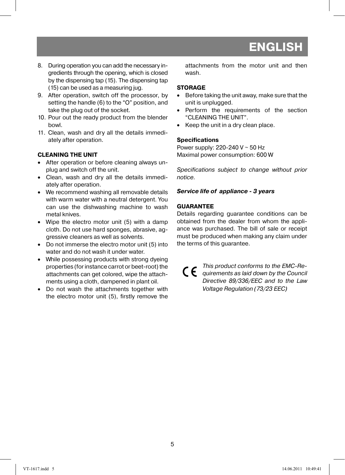## **ENGLISH**

- 8. During operation you can add the necessary ingredients through the opening, which is closed by the dispensing tap (15). The dispensing tap (15) can be used as a measuring jug.
- 9. After operation, switch off the processor, by setting the handle (6) to the "O" position, and take the plug out of the socket.
- 10. Pour out the ready product from the blender bowl.
- 11. Clean, wash and dry all the details immediately after operation.

## **CLEANING THE UNIT**

- After operation or before cleaning always unplug and switch off the unit.
- Clean, wash and dry all the details immediately after operation.
- We recommend washing all removable details with warm water with a neutral detergent. You can use the dishwashing machine to wash metal knives.
- Wipe the electro motor unit (5) with a damp cloth. Do not use hard sponges, abrasive, aggressive cleaners as well as solvents.
- Do not immerse the electro motor unit (5) into water and do not wash it under water.
- While possessing products with strong dyeing properties (for instance carrot or beet-root) the attachments can get colored, wipe the attachments using a cloth, dampened in plant oil.
- Do not wash the attachments together with the electro motor unit (5), firstly remove the

attachments from the motor unit and then wash.

## **STORAGE**

- Before taking the unit away, make sure that the unit is unplugged.
- Perform the requirements of the section "CLEANING THE UNIT".
- Keep the unit in a dry clean place.

## **Specifications**

Power supply: 220-240 V ~ 50 Hz Maximal power consumption: 600 W

Specifications subject to change without prior notice.

## *Service life of appliance - 3 years*

## **GUARANTEE**

Details regarding guarantee conditions can be obtained from the dealer from whom the appliance was purchased. The bill of sale or receipt must be produced when making any claim under the terms of this guarantee.

This product conforms to the EMC-Re- $\zeta \epsilon$  quirements as laid down by the Council Directive 89/336/EEC and to the Law Voltage Regulation (73/23 EEC)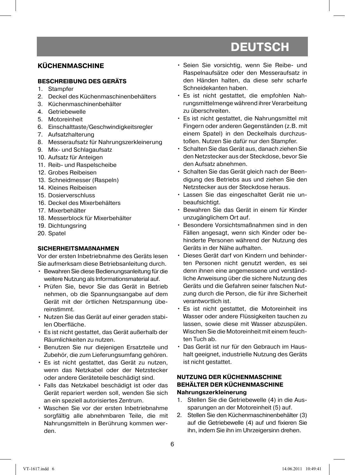## **DEUTSCH**

## **KÜCHENMASCHINE**

## **BESCHREIBUNG DES GERÄTS**

- 1. Stampfer
- 2. Deckel des Küchenmaschinenbehälters
- 3. Küchenmaschinenbehälter
- 4. Getriebewelle
- 5. Motoreinheit
- 6. Einschalttaste/Geschwindigkeitsregler
- 7. Aufsatzhalterung
- 8. Messeraufsatz für Nahrungszerkleinerung
- 9. Mix- und Schlagaufsatz
- 10. Aufsatz für Anteigen
- 11. Reib- und Raspelscheibe
- 12. Grobes Reibeisen
- 13. Schneidmesser (Raspeln)
- 14. Kleines Reibeisen
- 15. Dosierverschluss
- 16. Deckel des Mixerbehälters
- 17. Mixerbehälter
- 18. Messerblock für Mixerbehälter
- 19. Dichtungsring
- 20. Spatel

## **SICHERHEITSMAßNAHMEN**

Vor der ersten Inbetriebnahme des Geräts lesen Sie aufmerksam diese Betriebsanleitung durch.

- Bewahren Sie diese Bedienungsanleitung für die weitere Nutzung als Informationsmaterial auf.
- Prüfen Sie, bevor Sie das Gerät in Betrieb nehmen, ob die Spannungsangabe auf dem Gerät mit der örtlichen Netzspannung übereinstimmt.
- Nutzen Sie das Gerät auf einer geraden stabilen Oberfläche.
- Es ist nicht gestattet, das Gerät außerhalb der Räumlichkeiten zu nutzen.
- Benutzen Sie nur diejenigen Ersatzteile und Zubehör, die zum Lieferungsumfang gehören.
- Es ist nicht gestattet, das Gerät zu nutzen, wenn das Netzkabel oder der Netzstecker oder andere Geräteteile beschädigt sind.
- Falls das Netzkabel beschädigt ist oder das Gerät repariert werden soll, wenden Sie sich an ein speziell autorisiertes Zentrum.
- Waschen Sie vor der ersten Inbetriebnahme sorgfältig alle abnehmbaren Teile, die mit Nahrungsmitteln in Berührung kommen werden.
- Seien Sie vorsichtig, wenn Sie Reibe- und Raspelnaufsätze oder den Messeraufsatz in den Händen halten, da diese sehr scharfe Schneidekanten haben.
- Es ist nicht gestattet, die empfohlen Nahrungsmittelmenge während ihrer Verarbeitung zu überschreiten.
- Es ist nicht gestattet, die Nahrungsmittel mit Fingern oder anderen Gegenständen (z.B. mit einem Spatel) in den Deckelhals durchzustoßen. Nutzen Sie dafür nur den Stampfer.
- Schalten Sie das Gerät aus, danach ziehen Sie den Netzstecker aus der Steckdose, bevor Sie den Aufsatz abnehmen.
- Schalten Sie das Gerät gleich nach der Beendigung des Betriebs aus und ziehen Sie den Netzstecker aus der Steckdose heraus.
- Lassen Sie das eingeschaltet Gerät nie unbeaufsichtigt.
- Bewahren Sie das Gerät in einem für Kinder unzugänglichem Ort auf.
- Besondere Vorsichtsmaßnahmen sind in den Fällen angesagt, wenn sich Kinder oder behinderte Personen während der Nutzung des Geräts in der Nähe aufhalten.
- Dieses Gerät darf von Kindern und behinderten Personen nicht genutzt werden, es sei denn ihnen eine angemessene und verständliche Anweisung über die sichere Nutzung des Geräts und die Gefahren seiner falschen Nutzung durch die Person, die für ihre Sicherheit verantwortlich ist.
- Es ist nicht gestattet, die Motoreinheit ins Wasser oder andere Flüssigkeiten tauchen zu lassen, sowie diese mit Wasser abzuspülen. Wischen Sie die Motoreinheit mit einem feuchten Tuch ab.
- Das Gerät ist nur für den Gebrauch im Haushalt geeignet, industrielle Nutzung des Geräts ist nicht gestattet.

## **NUTZUNG DER KÜCHENMASCHINE BEHÄLTER DER KÜCHENMASCHINE Nahrungszerkleinerung**

- 1. Stellen Sie die Getriebewelle (4) in die Aussparungen an der Motoreinheit (5) auf.
- 2. Stellen Sie den Küchenmaschinenbehälter (3) auf die Getriebewelle (4) auf und fixieren Sie ihn, indem Sie ihn im Uhrzeigersinn drehen.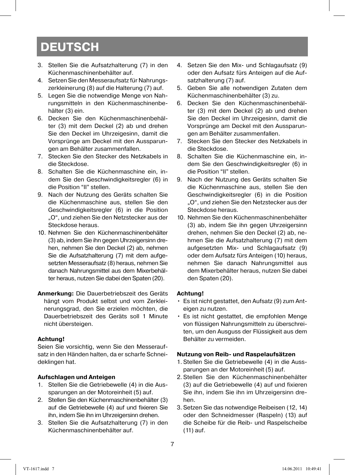## **DEUTSCH DEUTSCH**

- 3. Stellen Sie die Aufsatzhalterung (7) in den Küchenmaschinenbehälter auf.
- 4. Setzen Sie den Messeraufsatz für Nahrungszerkleinerung (8) auf die Halterung (7) auf.
- 5. Legen Sie die notwendige Menge von Nahrungsmitteln in den Küchenmaschinenbehälter (3) ein.
- 6. Decken Sie den Küchenmaschinenbehälter (3) mit dem Deckel (2) ab und drehen Sie den Deckel im Uhrzeigesinn, damit die Vorsprünge am Deckel mit den Aussparungen am Behälter zusammenfallen.
- 7. Stecken Sie den Stecker des Netzkabels in die Steckdose.
- 8. Schalten Sie die Küchenmaschine ein, indem Sie den Geschwindigkeitsregler (6) in die Position "II" stellen.
- 9. Nach der Nutzung des Geräts schalten Sie die Küchenmaschine aus, stellen Sie den Geschwindigkeitsregler (6) in die Position "O", und ziehen Sie den Netzstecker aus der Steckdose heraus.
- 10. Nehmen Sie den Küchenmaschinenbehälter (3) ab, indem Sie ihn gegen Uhrzeigersinn drehen, nehmen Sie den Deckel (2) ab, nehmen Sie die Aufsatzhalterung (7) mit dem aufgesetzten Messeraufsatz (8) heraus, nehmen Sie danach Nahrungsmittel aus dem Mixerbehälter heraus, nutzen Sie dabei den Spaten (20).
- **Anmerkung:** Die Dauerbetriebszeit des Geräts hängt vom Produkt selbst und vom Zerkleinerungsgrad, den Sie erzielen möchten, die Dauerbetriebszeit des Geräts soll 1 Minute nicht übersteigen.

## **Achtung!**

Seien Sie vorsichtig, wenn Sie den Messeraufsatz in den Händen halten, da er scharfe Schneideklingen hat.

## **Aufschlagen und Anteigen**

- 1. Stellen Sie die Getriebewelle (4) in die Aussparungen an der Motoreinheit (5) auf.
- 2. Stellen Sie den Küchenmaschinenbehälter (3) auf die Getriebewelle (4) auf und fixieren Sie ihn, indem Sie ihn im Uhrzeigersinn drehen.
- 3. Stellen Sie die Aufsatzhalterung (7) in den Küchenmaschinenbehälter auf.
- 4. Setzen Sie den Mix- und Schlagaufsatz (9) oder den Aufsatz fürs Anteigen auf die Aufsatzhalterung (7) auf.
- 5. Geben Sie alle notwendigen Zutaten dem Küchenmaschinenbehälter (3) zu.
- 6. Decken Sie den Küchenmaschinenbehälter (3) mit dem Deckel (2) ab und drehen Sie den Deckel im Uhrzeigesinn, damit die Vorsprünge am Deckel mit den Aussparungen am Behälter zusammenfallen.
- 7. Stecken Sie den Stecker des Netzkabels in die Steckdose.
- 8. Schalten Sie die Küchenmaschine ein, indem Sie den Geschwindigkeitsregler (6) in die Position "II" stellen.
- 9. Nach der Nutzung des Geräts schalten Sie die Küchenmaschine aus, stellen Sie den Geschwindigkeitsregler (6) in die Position "O", und ziehen Sie den Netzstecker aus der Steckdose heraus.
- 10. Nehmen Sie den Küchenmaschinenbehälter (3) ab, indem Sie ihn gegen Uhrzeigersinn drehen, nehmen Sie den Deckel (2) ab, nehmen Sie die Aufsatzhalterung (7) mit dem aufgesetzten Mix- und Schlagaufsatz (9) oder dem Aufsatz fürs Anteigen (10) heraus, nehmen Sie danach Nahrungsmittel aus dem Mixerbehälter heraus, nutzen Sie dabei den Spaten (20).

## **Achtung!**

- Es ist nicht gestattet, den Aufsatz (9) zum Anteigen zu nutzen.
- Es ist nicht gestattet, die empfohlen Menge von flüssigen Nahrungsmitteln zu überschreiten, um den Ausguss der Flüssigkeit aus dem Behälter zu vermeiden.

## **Nutzung von Reib- und Raspelaufsätzen**

- 1. Stellen Sie die Getriebewelle (4) in die Aussparungen an der Motoreinheit (5) auf.
- 2. Stellen Sie den Küchenmaschinenbehälter (3) auf die Getriebewelle (4) auf und fixieren Sie ihn, indem Sie ihn im Uhrzeigersinn drehen.
- 3. Setzen Sie das notwendige Reibeisen (12, 14) oder den Schneidmesser (Raspeln) (13) auf die Scheibe für die Reib- und Raspelscheibe (11) auf.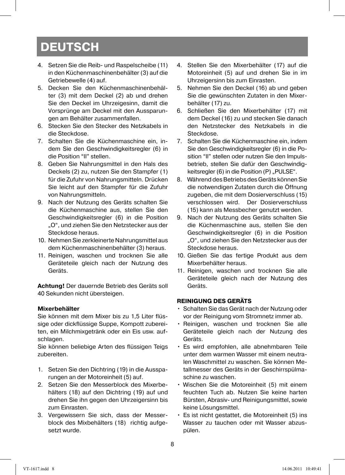## **DEUTSCH**

- 4. Setzen Sie die Reib- und Raspelscheibe (11) in den Küchenmaschinenbehälter (3) auf die Getriebewelle (4) auf.
- 5. Decken Sie den Küchenmaschinenbehälter (3) mit dem Deckel (2) ab und drehen Sie den Deckel im Uhrzeigesinn, damit die Vorsprünge am Deckel mit den Aussparungen am Behälter zusammenfallen.
- 6. Stecken Sie den Stecker des Netzkabels in die Steckdose.
- 7. Schalten Sie die Küchenmaschine ein, indem Sie den Geschwindigkeitsregler (6) in die Position "II" stellen.
- 8. Geben Sie Nahrungsmittel in den Hals des Deckels (2) zu, nutzen Sie den Stampfer (1) für die Zufuhr von Nahrungsmitteln. Drücken Sie leicht auf den Stampfer für die Zufuhr von Nahrungsmitteln.
- 9. Nach der Nutzung des Geräts schalten Sie die Küchenmaschine aus, stellen Sie den Geschwindigkeitsregler (6) in die Position "O", und ziehen Sie den Netzstecker aus der Steckdose heraus.
- 10. Nehmen Sie zerkleinerte Nahrungsmittel aus dem Küchenmaschinenbehälter (3) heraus.
- 11. Reinigen, waschen und trocknen Sie alle Geräteteile gleich nach der Nutzung des Geräts.

**Achtung!** Der dauernde Betrieb des Geräts soll 40 Sekunden nicht übersteigen.

## **Mixerbehälter**

Sie können mit dem Mixer bis zu 1,5 Liter flüssige oder dickflüssige Suppe, Kompott zubereiten, ein Milchmixgetränk oder ein Eis usw. aufschlagen.

Sie können beliebige Arten des flüssigen Teigs zubereiten.

- 1. Setzen Sie den Dichtring (19) in die Aussparungen an der Motoreinheit (5) auf.
- 2. Setzen Sie den Messerblock des Mixerbehälters (18) auf den Dichtring (19) auf und drehen Sie ihn gegen den Uhrzeigersinn bis zum Einrasten.
- 3. Vergewissern Sie sich, dass der Messerblock des Mixbehälters (18) richtig aufgesetzt wurde.
- 4. Stellen Sie den Mixerbehälter (17) auf die Motoreinheit (5) auf und drehen Sie in im Uhrzeigersinn bis zum Einrasten.
- 5. Nehmen Sie den Deckel (16) ab und geben Sie die gewünschten Zutaten in den Mixerbehälter (17) zu.
- 6. Schließen Sie den Mixerbehälter (17) mit dem Deckel (16) zu und stecken Sie danach den Netzstecker des Netzkabels in die Steckdose.
- 7. Schalten Sie die Küchenmaschine ein, indem Sie den Geschwindigkeitsregler (6) in die Position "II" stellen oder nutzen Sie den Impulsbetrieb, stellen Sie dafür den Geschwindigkeitsregler (6) in die Position (P) "PULSE".
- 8. Während des Betriebs des Geräts können Sie die notwendigen Zutaten durch die Öffnung zugeben, die mit dem Dosierverschluss (15) verschlossen wird. Der Dosierverschluss (15) kann als Messbecher genutzt werden.
- 9. Nach der Nutzung des Geräts schalten Sie die Küchenmaschine aus, stellen Sie den Geschwindigkeitsregler (6) in die Position "O", und ziehen Sie den Netzstecker aus der Steckdose heraus.
- 10. Gießen Sie das fertige Produkt aus dem Mixerbehälter heraus.
- 11. Reinigen, waschen und trocknen Sie alle Geräteteile gleich nach der Nutzung des Geräts.

## **REINIGUNG DES GERÄTS**

- Schalten Sie das Gerät nach der Nutzung oder vor der Reinigung vom Stromnetz immer ab.
- Reinigen, waschen und trocknen Sie alle Geräteteile gleich nach der Nutzung des Geräts.
- Es wird empfohlen, alle abnehmbaren Teile unter dem warmen Wasser mit einem neutralen Waschmittel zu waschen. Sie können Metallmesser des Geräts in der Geschirrspülmaschine zu waschen.
- Wischen Sie die Motoreinheit (5) mit einem feuchten Tuch ab. Nutzen Sie keine harten Bürsten, Abrasiv- und Reinigungsmittel, sowie keine Lösungsmittel.
- Es ist nicht gestattet, die Motoreinheit (5) ins Wasser zu tauchen oder mit Wasser abzuspülen.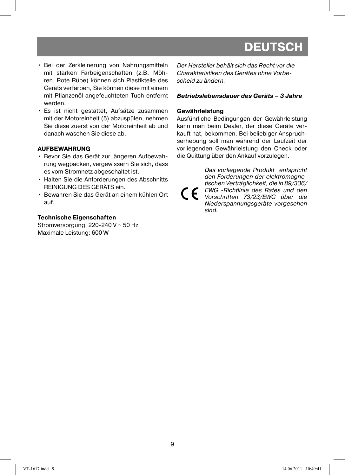## **DEUTSCH**

- Bei der Zerkleinerung von Nahrungsmitteln mit starken Farbeigenschaften (z.B. Möhren, Rote Rübe) können sich Plastikteile des Geräts verfärben, Sie können diese mit einem mit Pflanzenöl angefeuchteten Tuch entfernt werden.
- Es ist nicht gestattet, Aufsätze zusammen mit der Motoreinheit (5) abzuspülen, nehmen Sie diese zuerst von der Motoreinheit ab und danach waschen Sie diese ab.

## **AUFBEWAHRUNG**

- Bevor Sie das Gerät zur längeren Aufbewahrung wegpacken, vergewissern Sie sich, dass es vom Stromnetz abgeschaltet ist.
- Halten Sie die Anforderungen des Abschnitts REINIGUNG DES GERÄTS ein.
- Bewahren Sie das Gerät an einem kühlen Ort auf.

## **Technische Eigenschaften**

Stromversorgung: 220-240 V ~ 50 Hz Maximale Leistung: 600 W

Der Hersteller behält sich das Recht vor die Charakteristiken des Gerätes ohne Vorbescheid zu ändern.

## *Betriebslebensdauer des Geräts – 3 Jahre*

## **Gewährleistung**

Ausführliche Bedingungen der Gewährleistung kann man beim Dealer, der diese Geräte verkauft hat, bekommen. Bei beliebiger Anspruchserhebung soll man während der Laufzeit der vorliegenden Gewährleistung den Check oder die Quittung über den Ankauf vorzulegen.

Das vorliegende Produkt entspricht den Forderungen der elektromagnetischen Verträglichkeit, die in 89/336/ EWG -Richtlinie des Rates und den  $\epsilon$ Vorschriften 73/23/EWG über die Niederspannungsgeräte vorgesehen sind.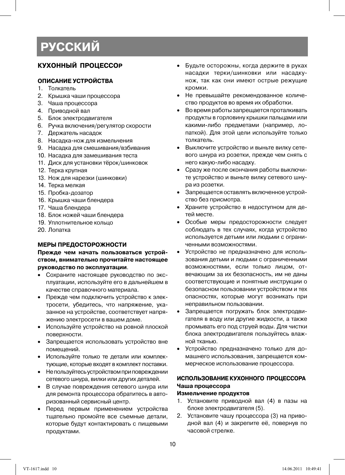# **РУССКИЙ**

## **КУХОННЫЙ ПРОЦЕССОР**

## **ОПИСАНИЕ УСТРОЙСТВА**

- 1. Толкатель
- 2. Крышка чаши процессора
- 3. Чаша процессора
- 4. Приводной вал
- 5. Блок электродвигателя
- 6. Ручка включения/регулятор скорости
- 7. Держатель насадок
- 8. Насадка-нож для измельчения
- 9. Насадка для смешивания/взбивания
- 10. Насадка для замешивания теста
- 11. Диск для установки тёрок/шинковок
- 12. Терка крупная
- 13. Нож для нарезки (шинковки)
- 14. Терка мелкая
- 15. Пробка-дозатор
- 16. Крышка чаши блендера
- 17. Чаша блендера
- 18. Блок ножей чаши блендера
- 19. Уплотнительное кольцо
- 20. Лопатка

## **МЕРЫ ПРЕДОСТОРОЖНОСТИ**

## **Прежде чем начать пользоваться устройством, внимательно прочитайте настоящее руководство по эксплуатации**.

- Сохраните настоящее руководство по эксплуатации, используйте его в дальнейшем в качестве справочного материала.
- Прежде чем подключить устройство к электросети, убедитесь, что напряжение, указанное на устройстве, соответствует напряжению электросети в вашем доме.
- Используйте устройство на ровной плоской поверхности.
- Запрещается использовать устройство вне помещений.
- Используйте только те детали или комплектующие, которые входят в комплект поставки.
- Не пользуйтесь устройством при повреждении сетевого шнура, вилки или других деталей.
- В случае повреждения сетевого шнура или для ремонта процессора обратитесь в авторизованный сервисный центр.
- Перед первым применением устройства тщательно промойте все съемные детали, которые будут контактировать с пищевыми продуктами.
- Будьте осторожны, когда держите в руках насадки терки/шинковки или насадкунож, так как они имеют острые режущие кромки.
- Не превышайте рекомендованное количество продуктов во время их обработки.
- Во время работы запрещается проталкивать продукты в горловину крышки пальцами или какими-либо предметами (например, лопаткой). Для этой цели используйте только толкатель.
- Выключите устройство и выньте вилку сетевого шнура из розетки, прежде чем снять с него какую-либо насадку.
- Сразу же после окончания работы выключите устройство и выньте вилку сетевого шнура из розетки.
- Запрещается оставлять включенное устройство без присмотра.
- Храните устройство в недоступном для детей месте.
- Особые меры предосторожности следует соблюдать в тех случаях, когда устройство используется детьми или людьми с ограниченными возможностями.
- Устройство не предназначено для использования детьми и людьми с ограниченными возможностями, если только лицом, отвечающим за их безопасность, им не даны соответствующие и понятные инструкции о безопасном пользовании устройством и тех опасностях, которые могут возникать при неправильном пользовании.
- Запрещается погружать блок электродвигателя в воду или другие жидкости, а также промывать его под струей воды. Для чистки блока электродвигателя пользуйтесь влажной тканью.
- Устройство предназначено только для домашнего использования, запрещается коммерческое использование процессора.

## **ИСПОЛЬЗОВАНИЕ КУХОННОГО ПРОЦЕССОРА Чаша процессора**

### **Измельчение продуктов**

- 1. Установите приводной вал (4) в пазы на блоке электродвигателя (5).
- 2. Установите чашу процессора (3) на приводной вал (4) и закрепите её, повернув по часовой стрелке.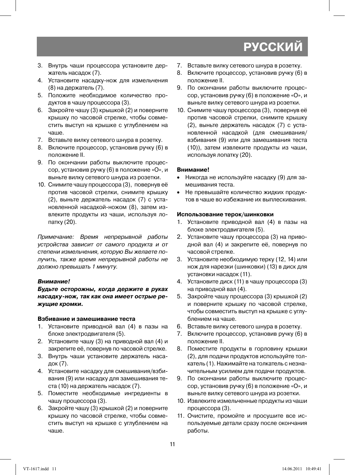# **РУССКИЙ**

- 3. Внутрь чаши процессора установите держатель насадок (7).
- 4. Установите насадку-нож для измельчения (8) на держатель (7).
- 5. Положите необходимое количество продуктов в чашу процессора (3).
- 6. Закройте чашу (3) крышкой (2) и поверните крышку по часовой стрелке, чтобы совместить выступ на крышке с углублением на чаше.
- 7. Вставьте вилку сетевого шнура в розетку.
- 8. Включите процессор, установив ручку (6) в положение II.
- 9. По окончании работы выключите процессор, установив ручку (6) в положение «O», и выньте вилку сетевого шнура из розетки.
- 10. Снимите чашу процессора (3), повернув её против часовой стрелки, снимите крышку (2), выньте держатель насадок (7) с установленной насадкой-ножом (8), затем извлеките продукты из чаши, используя лопатку (20).

Примечание: Время непрерывной работы устройства зависит от самого продукта и от степени измельчения, которую Вы желаете получить, также время непрерывной работы не должно превышать 1 минуту.

## *Внимание!*

*Будьте осторожны, когда держите в руках насадку-нож, так как она имеет острые режущие кромки.*

## **Взбивание и замешивание теста**

- 1. Установите приводной вал (4) в пазы на блоке электродвигателя (5).
- 2. Установите чашу (3) на приводной вал (4) и закрепите её, повернув по часовой стрелке.
- 3. Внутрь чаши установите держатель насадок (7).
- 4. Установите насадку для смешивания/взбивания (9) или насадку для замешивания теста (10) на держатель насадок (7).
- 5. Поместите необходимые ингредиенты в чашу процессора (3).
- 6. Закройте чашу (3) крышкой (2) и поверните крышку по часовой стрелке, чтобы совместить выступ на крышке с углублением на чаше.
- 7. Вставьте вилку сетевого шнура в розетку.
- 8. Включите процессор, установив ручку (6) в положение II.
- 9. По окончании работы выключите процессор, установив ручку (6) в положение «O», и выньте вилку сетевого шнура из розетки.
- 10. Снимите чашу процессора (3), повернув её против часовой стрелки, снимите крышку (2), выньте держатель насадок (7) с установленной насадкой (для смешивания/ взбивания (9) или для замешивания теста (10)), затем извлеките продукты из чаши, используя лопатку (20).

## **Внимание!**

- Никогда не используйте насадку (9) для замешивания теста.
- Не превышайте количество жидких продуктов в чаше во избежание их выплескивания.

## **Использование терок/шинковки**

- 1. Установите приводной вал (4) в пазы на блоке электродвигателя (5).
- 2. Установите чашу процессора (3) на приводной вал (4) и закрепите её, повернув по часовой стрелке.
- 3. Установите необходимую терку (12, 14) или нож для нарезки (шинковки) (13) в диск для установки насадок (11).
- 4. Установите диск (11) в чашу процессора (3) на приводной вал (4).
- 5. Закройте чашу процессора (3) крышкой (2) и поверните крышку по часовой стрелке, чтобы совместить выступ на крышке с углублением на чаше.
- 6. Вставьте вилку сетевого шнура в розетку.
- 7. Включите процессор, установив ручку (6) в положение II.
- 8. Поместите продукты в горловину крышки (2), для подачи продуктов используйте толкатель (1). Нажимайте на толкатель с незначительным усилием для подачи продуктов.
- 9. По окончании работы выключите процессор, установив ручку (6) в положение «O», и выньте вилку сетевого шнура из розетки.
- 10. Извлеките измельченные продукты из чаши процессора (3).
- 11. Очистите, промойте и просушите все используемые детали сразу после окончания работы.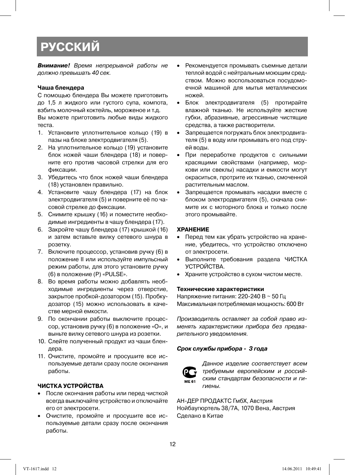## **РУССКИЙ**

*Внимание!* Время непрерывной работы не должно превышать 40 сек.

## **Чаша блендера**

С помощью блендера Вы можете приготовить до 1,5 л жидкого или густого супа, компота, взбить молочный коктейль, мороженое и т.д. Вы можете приготовить любые виды жидкого теста.

- 1. Установите уплотнительное кольцо (19) в пазы на блоке электродвигателя (5).
- 2. На уплотнительное кольцо (19) установите блок ножей чаши блендера (18) и поверните его против часовой стрелки для его фиксации.
- 3. Убедитесь что блок ножей чаши блендера (18) установлен правильно.
- 4. Установите чашу блендера (17) на блок электродвигателя (5) и поверните её по часовой стрелке до фиксации.
- 5. Снимите крышку (16) и поместите необходимые ингредиенты в чашу блендера (17).
- 6. Закройте чашу блендера (17) крышкой (16) и затем вставьте вилку сетевого шнура в розетку.
- 7. Включите процессор, установив ручку (6) в положение II или используйте импульсный режим работы, для этого установите ручку (6) в положение (Р) «PULSE».
- 8. Во время работы можно добавлять необходимые ингредиенты через отверстие, закрытое пробкой-дозатором (15). Пробкудозатор (15) можно использовать в качестве мерной емкости.
- 9. По окончании работы выключите процессор, установив ручку (6) в положение «O», и выньте вилку сетевого шнура из розетки.
- 10. Слейте полученный продукт из чаши блендера.
- 11. Очистите, промойте и просушите все используемые детали сразу после окончания работы.

## **ЧИСТКА УСТРОЙСТВА**

- После окончания работы или перед чисткой всегда выключайте устройство и отключайте его от электросети.
- Очистите, промойте и просушите все используемые детали сразу после окончания работы.
- Рекомендуется промывать съемные детали теплой водой с нейтральным моющим средством. Можно воспользоваться посудомоечной машиной для мытья металлических ножей.
- Блок электродвигателя (5) протирайте влажной тканью. Не используйте жесткие губки, абразивные, агрессивные чистящие средства, а также растворители.
- Запрещается погружать блок электродвигателя (5) в воду или промывать его под струей воды.
- При переработке продуктов с сильными красящими свойствами (например, моркови или свеклы) насадки и емкости могут окраситься, протрите их тканью, смоченной растительным маслом.
- Запрещается промывать насадки вместе с блоком электродвигателя (5), сначала снимите их с моторного блока и только после этого промывайте.

## **ХРАНЕНИЕ**

- Перед тем как убрать устройство на хранение, убедитесь, что устройство отключено от электросети.
- Выполните требования раздела ЧИСТКА УСТРОЙСТВА.
- Храните устройство в сухом чистом месте.

### **Технические характеристики**

Напряжение питания: 220-240 В ~ 50 Гц Максимальная потребляемая мощность: 600 Вт

Производитель оставляет за собой право изменять характеристики прибора без предварительного уведомления.

## *Срок службы прибора - 3 года*



Данное изделие соответствует всем требуемым европейским и российским стандартам безопасности и гигиены.

АН-ДЕР ПРОДАКТС ГмбХ, Австрия Нойбаугюртель 38/7А, 1070 Вена, Австрия Сделано в Китае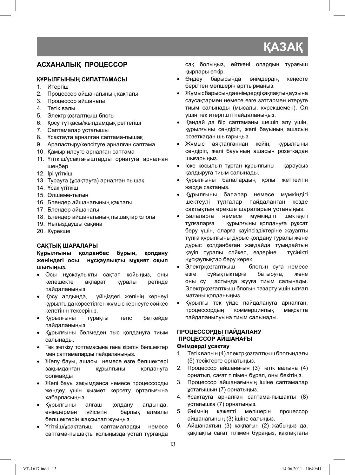# **КАЗАК**

## **АСХАНАЛЫҚ ПРОЦЕССОР**

#### **ҚҰРЫЛҒЫНЫҢ СИПАТТАМАСЫ**

- 1. Итергіш
- 2. Процессор айшанағының кақпағы
- 3. Процессор айшанағы
- 4. Тетік валы
- 5. Электрқозғалтқыш блогы
- 6. Қосу тұтқасы/жылдамдық реттегіші
- 7. Саптамалар ұстағышы
- 8. Ұсақтауға арналған саптама-пышақ
- 9. Араластыру/көпсітуге арналған саптама
- 10. Қамыр илеуге арналған саптама
- 11. Үгіткіш/ұсақтағыштарды орнатуға арналған шеңбер
- 12. Ірі үгіткіш
- 13. Турауға (ұсақтауға) арналған пышақ
- 14. Ұсақ үгіткіш
- 15. Өлшеме-тығын
- 16. Блендер айшанағының қақпағы
- 17. Блендер айшанағы
- 18. Блендер айшанағының пышақтар блогы
- 19. Нығыздаушы сақина
- 20. Күрекше

## **САҚТЫҚ ШАРАЛАРЫ**

#### **Құрылғыны қолданбас бұрын, қолдану жөніндегі осы нұсқаулықты мұқият оқып шығыңыз.**

- Осы нұсқаулықты сақтап қойыңыз, оны келешекте ақпарат құралы ретінде пайдаланыңыз.
- Қосу алдында, үйіңіздегі желінің кернеуі құрылғыда көрсетілген жұмыс кернеуге сəйкес келетінін тексеріңіз.
- Құрылғыны тұрақты тегіс беткейде пайдаланыңыз.
- Құрылғыны бөлмеден тыс қолдануға тиым салынады.
- Тек жеткізу топтамасына ғана кіретін бөлшектер мен саптамаларды пайдаланыңыз.
- Желу бауы, ашасы немесе өзге бөлшектері зақымданған құрылғыны қолдануға болмайды
- Желі бауы зақымданса немесе процессорды жөндеу үшін қызмет көрсету орталығына хабарласыңыз.
- Құрылғыны алғаш қолдану алдында, өнімдермен түйісетін барлық алмалы бөлшектерін жақсылап жуыңыз.
- Үгіткіш/ұсақтағыш саптамаларды немесе саптама-пышақты қолыңызда ұстап тұрғанда

сақ болыңыз, өйткені олардың турағыш қырлары өткір.

- Өңдеу барысында өнімдердің кеңесте берілген мөлшерін арттырмаңыз.
- Жұмысбарысында өнімдерді қақпақтың аузына саусақтармен немесе өзге заттармен итеруге тиым салынады (мысалы, күрекшемен). Ол үшін тек итергішті пайдаланыңыз.
- Қандай да бір саптаманы шешіп алу үшін, құрылғыны сөндіріп, желі бауының ашасын розеткадан шығарыңыз.
- Жұмыс аяқталғаннан кейін, құрылғыны сөндіріп, желі бауының ашасын розеткадан шығарыңыз.
- Іске қосылып тұрған құрылғыны қараусыз қалдыруға тиым салынады.
- Құрылғыны балалардың қолы жетпейтін жерде сақтаңыз.
- Құрылғыны балалар немесе мүмкіндігі шектеулі тұлғалар пайдаланған кезде сақтықтың ерекше шараларын ұстаныңыз.
- Балаларға немесе мүмкіндігі шектеулі тұлғаларға құрылғыны қолдануға рұқсат беру үшін, оларға қауіпсіздіктеріне жауапты тұлға құрылғыны дұрыс қолдану туралы жəне дұрыс қолданбаған жағдайда туындайтын қауіп туралы сəйкес, өздеріне түсінікті нұсқаулықтар беру керек
- Электрқозғалтқыш блогын суға немесе өзге сүйықтықтарға батыруға, жəне оны су астында жууға тиым салынады. Электрқозғалтқыш блогын тазарту үшін ылғал матаны қолданыңыз.
- Құрылғы тек үйде пайдалануға арналған, процессордың коммерциялық мақсатта пайдаланылуына тиым салынады.

## **ПРОЦЕССОРДЫ ПАЙДАЛАНУ ПРОЦЕССОР АЙШАНАҒЫ**

#### **Өнімдерді ұсақтау**

- 1. Тетік валын (4) электрқозғалтқыш блогындағы (5) тесіктерге орнатыңыз.
- 2. Процессор айшанағын (3) тетік валына (4) орнатып, сағат тілімен бұрап, оны бекітіңіз.
- 3. Процессор айшанағының ішіне саптамалар ұстағышын (7) орнатыңыз.
- 4. Ұсақтауға арналған саптама-пышақты (8) ұстағышқа (7) орнатыңыз.
- 5. Өнімнің қажетті мөлшерін процессор айшанағының (3) ішіне салыңыз.
- 6. Айшанақтың (3) қақпағын (2) жабыңыз да, қақпақты сағат тілімен бұраңыз, қақпақтағы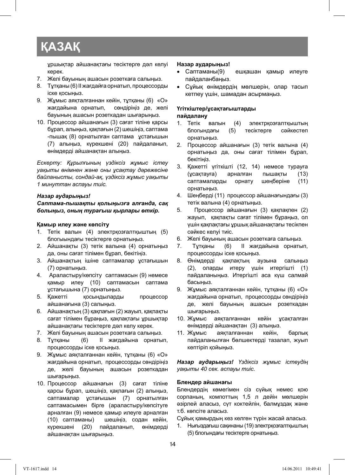# **ҚАЗАҚ**

ұршықтар айшанақтағы тесіктерге дəл келуі керек.

- 7. Желі бауының ашасын розеткаға салыңыз.
- 8. Тұтқаны (6) ІІ жағдайға орнатып, процессорды іске қосыңыз.
- 9. Жұмыс аяқталғаннан кейін, тұтқаны (6) «О» жағдайына орнатып, сөндіріңіз де, желі бауының ашасын розеткадан шығарыңыз.
- 10. Процессор айшанағын (3) сағат тіліне қарсы бұрап, алыңыз, қақпағын (2) шешіңіз, саптама -пышақ (8) орнатылған саптама ұстағышын (7) алыңыз, күрекшені (20) пайдаланып, өнімдерді айшанақтан алыңыз.

*Ескерту: Құрылғының үздіксіз жұмыс істеу уақыты өнімнен жəне оны ұсақтау дəрежесіне байланысты, сондай-ақ, үздіксіз жұмыс уақыты 1 минуттан аспауы тиіс.* 

#### *Назар аударыңыз!*

*Саптама-пышақты қолыңызға алғанда, сақ болыңыз, оның турағыш қырлары өткір.* 

#### **Қамыр илеу жəне көпсіту**

- 1. Тетік валын (4) электрқозғалтқыштың (5) блогыындағы тесіктерге орнатыңыз.
- 2. Айшанақты (3) тетік валына (4) орнатыңыз да, оны сағат тілімен бұрап, бекітіңіз.
- 3. Айшанақтың ішіне саптамалар ұстағышын (7) орнатыңыз.
- 4. Араластыру/көпсіту саптамасын (9) немесе қамыр илеу (10) саптамасын саптама ұстағышына (7) орнатыңыз.
- 5. Қажетті қосындыларды процессор айшанағына (3) салыңыз.
- 6. Айшанақтың (3) қақпағын (2) жауып, қақпақты сағат тілімен бұраңыз, қақпақтағы ұршықтар айшанақтағы тесіктерге дəл келу керек.
- 7. Желі бауының ашасын розеткаға салыңыз.
- 8. Тұтқаны (6) ІІ жағдайына орнатып, процессорды іске қосыңыз.
- 9. Жұмыс аяқталғаннан кейін, тұтқаны (6) «О» жағдайына орнатып, процессорды сөндіріңіз де, желі бауының ашасын розеткадан шығарыңыз.
- 10. Процессор айшанағын (3) сағат тіліне қарсы бұрап, шешіңіз, қақпағын (2) алыңыз, саптамалар ұстағышын (7) орнатылған саптамасымен бірге (араластыру/көпсітуге арналған (9) немесе қамыр илеуге арналған (10) саптаманы) шешіңіз, содан кейін, күрекшені (20) пайдаланып, өнімдерді айшанақтан шығарыңыз.

#### **Назар аударыңыз!**

- Саптаманы(9) ешқашан қамыр илеуге пайдаланбаңыз.
- Сұйық өнімдердің мөлшерін, олар тасып кетпеу үшін, шамадан асырмаңыз.

#### **Үгіткіштер/ұсақтағыштарды пайдалану**

- 1. Тетік валын (4) электрқозғалтқыштың блогындағы (5) тесіктерге сəйкестеп орнатыңыз.
- 2. Процессор айшанағын (3) тетік валына (4) орнатыңыз да, оны сағат тілімен бұрап, бекітіңіз.
- 3. Қажетті үгіткішті (12, 14) немесе турауға (ұсақтауға) арналған пышақты (13) саптамаларды орнату шеңберіне (11) орнатыңыз.
- 4. Шеңберді (11) процессор айшанағындағы (3) тетік валына (4) орнатыңыз.
- 5. Процессор айшанағын (3) қақпақпен (2) жауып, қақпақты сағат тілімен бұраңыз, ол үшін қақпақтағы ұршық айшанақтағы тесікпен сəйкес келуі тиіс.
- 6. Желі бауының ашасын розеткаға салыңыз.
- 7. Тұтқаны (6) ІІ жағдайына орнатып, процессорды іске қосыңыз.
- 8. Өнімдерді қақпақтың аузына салыңыз (2), оларды итеру үшін итергішті (1) пайдаланыңыз. Итергішті аса күш салмай басыңыз.
- 9. Жұмыс аяқталғаннан кейін, тұтқаны (6) «О» жағдайына орнатып, процессорды сөндіріңіз де, желі бауының ашасын розеткадан шығарыңыз.
- 10. Жұмыс аяқталғаннан кейін ұсақталған өнімдерді айшанақтан (3) алыңыз.
- 11. Жұмыс аяқталғаннан кейін, барлық пайдаланылған бөлшектерді тазалап, жуып кептіріп қойыңыз.

*Назар аударыңыз! Үздіксіз жұмыс істеудің уақыты 40 сек. аспауы тиіс.* 

#### **Блендер айшанағы**

Блендердің көмегімен сіз сүйық немес қою сорпаның, компоттың 1,5 л дейін мөлшерін əзірлей аласыз, сүт коктейлін, балмұздақ жəне т.б. көпсіте аласыз.

Сұйық қамырдың кез келген түрін жасай аласыз.

1. Нығыздағыш сақинаны (19) электрқозғалтқыштың (5) блогындағы тесіктерге орнатыңыз.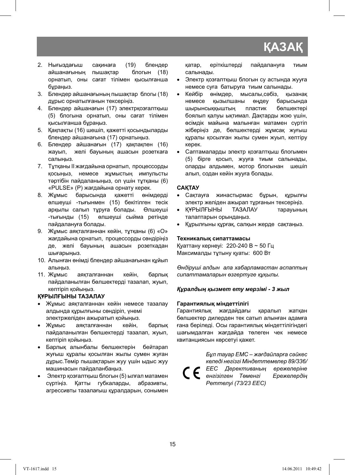# **ҚАЗАҚ**

- 2. Нығыздағыш сақинаға (19) блендер айшанағының пышақтар блогын (18) орнатып, оны сағат тілімен қысылғанша бұраңыз.
- 3. Блендер айшанағының пышақтар блогы (18) дұрыс орнатылғанын тексеріңіз.
- 4. Блендер айшанағын (17) электрқозғалтқыш (5) блогына орнатып, оны сағат тілімен қысылғанша бұраңыз.
- 5. Қақпақты (16) шешіп, қажетті қосындыларды блендер айшанағына (17) орнатыңыз.
- 6. Блендер айшанағын (17) қақпақпен (16) жауып, желі бауының ашасын розеткаға салыңыз.
- 7. Тұтқаны ІІ жағдайына орнатып, процессорды қосыңыз, немесе жұмыстың импульсты тəртібін пайдаланыңыз, ол үшін тұтқаны (6) «PULSE» (Р) жағдайына орнату керек.
- 8. Жұмыс барысында қажетті өнімдерді өлшеуші -тығынмен (15) бекітілген тесік арқылы салып тұруға болады. Өлшеуші -тығынды (15) өлшеуші сыйма ретінде пайдалануға болады.
- 9. Жұмыс аяқталғаннан кейін, тұтқаны (6) «О» жағдайына орнатып, процессорды сөндіріңіз де, желі бауының ашасын розеткадан шығарыңыз.
- 10. Алынған өнімді блендер айшанағынан құйып алыңыз.
- 11. Жұмыс аяқталғаннан кейін, барлық пайдаланылған бөлшектерді тазалап, жуып, кептіріп қойыңыз.

#### **ҚҰРЫЛҒЫНЫ ТАЗАЛАУ**

- Жұмыс аяқталғаннан кейін немесе тазалау алдында құрылғыны сөндіріп, үнемі электржеліден ажыратып қойыңыз.
- Жұмыс аяқталғаннан кейін, барлық пайдаланылған бөлшектерді тазалап, жуып, кептіріп қойыңыз.
- Барлық алынбалы бөлшектерін бейтарап жуғыш құралы қосылған жылы сумен жуған дұрыс.Темір пышақтарын жуу үшін ыдыс жуу машинасын пайдаланбаңыз.
- Электр қозғалтқыш блогын (5) ылғал матамен сүртіңіз. Қатты губкаларды, абразивты, агрессивты тазалағыш құралдарын, сонымен

қатар, еріткіштерді пайдалануға тиым салынады.

- Электр қозғалтқыш блогын су астында жууға немесе суға батыруға тиым салынады.
- Кейбір өнімдер, мысалы,сəбіз, қызанақ немесе қызылшаны өңдеу барысында шырынсыққыштың пластик бөлшектері боялып қалуы ықтимал. Дақтарды жою үшін, өсімдік майына малынған матамен сүртіп жіберіңіз де, бөлшектерді жұмсақ жуғыш құралы қосылған жылы сумен жуып, кептіру керек.
- Саптамаларды электр қозғалтқыш блогымен (5) бірге қосып, жууға тиым салынады, оларды алдымен, мотор блогынан шешіп алып, содан кейін жууға болады.

#### **САҚТАУ**

- Сақтауға жинастырмас бұрын, құрылғы электр желіден ажырап тұрғанын тексеріңіз.
- ҚҰРЫЛҒЫНЫ ТАЗАЛАУ тарауының талаптарын орындаңыз.
- Құрылғыны құрғақ, салқын жерде сақтаңыз.

#### **Техникалық сипаттамасы**

Қуаттану кернеуі: 220-240 В ~ 50 Гц Максималды тұтыну қуаты: 600 Вт

*Өндіруші алдын ала хабарламастан аспаптың сипаттамаларын өзгертуге құқылы.*

#### *Құралдың қызмет ету мерзімі - 3 жыл*

#### **Гарантиялық мiндеттiлiгi**

Гарантиялық жағдайдағы қаралып жатқан бөлшектер дилерден тек сатып алынған адамға ғана берiледi. Осы гарантиялық мiндеттiлiгiндегi шағымдалған жағдайда төлеген чек немесе квитанциясын көрсетуi қажет.

*Бұл тауар ЕМС – жағдайларға сəйкес келедi негiзгi Мiндеттемелер 89/336/ EEC Дерективаның ережелерiне*  CE. *енгiзiлген Төменгi Ережелердiң Реттелуi (73/23 EEC)*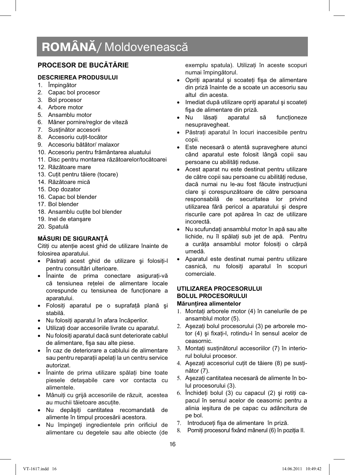# **ROMÂNĂ/** Moldovenească

## **PROCESOR DE BUCĂTĂRIE**

## **DESCRIEREA PRODUSULUI**

- 1. Împingător
- 2. Capac bol procesor
- 3. Bol procesor
- 4. Arbore motor
- 5. Ansamblu motor
- 6. Mâner pornire/reglor de viteză
- 7. Susţinător accesorii
- 8. Accesoriu cutit-tocător
- 9. Accesoriu bătător/ malaxor
- 10. Accesoriu pentru frământarea aluatului
- 11. Disc pentru montarea răzătoarelor/tocătoarei
- 12. Răzătoare mare
- 13. Cuţit pentru tăiere (tocare)
- 14. Răzătoare mică
- 15. Dop dozator
- 16. Capac bol blender
- 17. Bol blender
- 18. Ansamblu cutite bol blender
- 19. Inel de etanşare
- 20. Spatulă

## **MĂSURI DE SIGURANŢĂ**

Cititi cu atentie acest ghid de utilizare înainte de folosirea aparatului.

- Păstraţi acest ghid de utilizare şi folosiţi-l pentru consultări ulterioare.
- Înainte de prima conectare asigurati-vă că tensiunea reţelei de alimentare locale corespunde cu tensiunea de funcționare a aparatului.
- Folosiţi aparatul pe o suprafaţă plană şi stabilă.
- Nu folositi aparatul în afara încăperilor.
- Utilizaţi doar accesoriile livrate cu aparatul.
- Nu folositi aparatul dacă sunt deteriorate cablul de alimentare, fisa sau alte piese.
- În caz de deteriorare a cablului de alimentare sau pentru reparaţii apelaţi la un centru service autorizat.
- Înainte de prima utilizare spălaţi bine toate piesele detaşabile care vor contacta cu alimentele.
- Mânuiti cu grijă accesoriile de răzuit, acestea au muchii tăietoare ascuțite.
- Nu depăşiţi cantitatea recomandată de alimente în timpul procesării acestora.
- Nu împingeți ingredientele prin orificiul de alimentare cu degetele sau alte obiecte (de

exemplu spatula). Utilizati în aceste scopuri numai împingătorul.

- Opriți aparatul și scoateți fișa de alimentare din priză înainte de a scoate un accesoriu sau altul din acesta.
- Imediat după utilizare opriți aparatul și scoateți fisa de alimentare din priză.
- Nu lăsaţi aparatul să funcţioneze nesupravegheat.
- Păstrati aparatul în locuri inaccesibile pentru copii.
- Este necesară o atentă supraveghere atunci când aparatul este folosit lângă copii sau persoane cu abilităţi reduse.
- Acest aparat nu este destinat pentru utilizare de către copii sau persoane cu abilități reduse, dacă numai nu le-au fost făcute instrucţiuni clare și corespunzătoare de către persoana responsabilă de securitatea lor privind utilizarea fără pericol a aparatului şi despre riscurile care pot apărea în caz de utilizare incorectă.
- Nu scufundaţi ansamblul motor în apă sau alte lichide, nu îl spălaţi sub jet de apă. Pentru a curăta ansamblul motor folositi o cârpă umedă.
- Aparatul este destinat numai pentru utilizare casnică, nu folositi aparatul în scopuri comerciale.

## **UTILIZAREA PROCESORULUI BOLUL PROCESORULUI Mărunţirea alimentelor**

- 1. Montati arborele motor (4) în canelurile de pe ansamblul motor (5).
- 2. Asezați bolul procesorului (3) pe arborele motor (4) și fixați-l, rotindu-l în sensul acelor de ceasornic.
- 3. Montaţi susţinătorul accesoriilor (7) în interiorul bolului procesor.
- 4. Aşezaţi accesoriul cuţit de tăiere (8) pe susţinător (7).
- 5. Asezati cantitatea necesară de alimente în bolul procesorului (3).
- 6. Închideţi bolul (3) cu capacul (2) şi rotiţi capacul în sensul acelor de ceasornic pentru a alinia ieşitura de pe capac cu adâncitura de pe bol.
- 7. Introduceți fișa de alimentare în priză.
- Borniți procesorul fixând mânerul (6) în poziția II.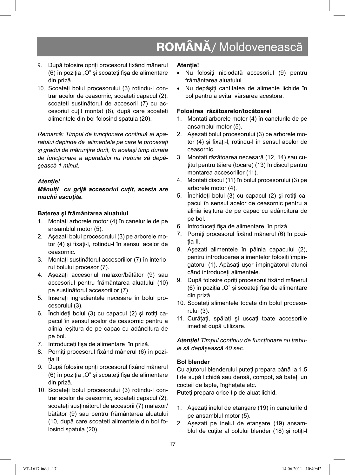# **ROMÂNĂ/** Moldovenească

- 9. După folosire opriti procesorul fixând mânerul (6) în poziția "O" și scoateți fișa de alimentare din priză.
- 10. Scoateti bolul procesorului (3) rotindu-l contrar acelor de ceasornic, scoateti capacul (2), scoateți susținătorul de accesorii (7) cu accesoriul cuţit montat (8), după care scoateţi alimentele din bol folosind spatula (20).

*Remarcă: Timpul de funcţionare continuă al aparatului depinde de alimentele pe care le procesaţi şi gradul de mărunţire dorit, în acelaşi timp durata de funcţionare a aparatului nu trebuie să depăşească 1 minut.*

## *Atenţie!*

*Mânuiţi cu grijă accesoriul cuţit, acesta are muchii ascuţite.*

## **Baterea şi frământarea aluatului**

- 1. Montati arborele motor (4) în canelurile de pe ansamblul motor (5).
- 2. Aşezaţi bolul procesorului (3) pe arborele motor (4) și fixați-l, rotindu-l în sensul acelor de ceasornic.
- 3. Montati sustinătorul accesoriilor (7) în interiorul bolului procesor (7).
- 4. Aşezaţi accesoriul malaxor/bătător (9) sau accesoriul pentru frământarea aluatului (10) pe susţinătorul accesoriilor (7).
- 5. Inseraţi ingredientele necesare în bolul procesorului (3).
- 6. Închideţi bolul (3) cu capacul (2) şi rotiţi capacul în sensul acelor de ceasornic pentru a alinia ieşitura de pe capac cu adâncitura de pe bol.
- 7. Introduceti fișa de alimentare în priză.
- 8. Porniți procesorul fixând mânerul (6) în pozitia II.
- 9. După folosire opriti procesorul fixând mânerul (6) în pozitia "O" și scoateti fișa de alimentare din priză.
- 10. Scoateti bolul procesorului (3) rotindu-l contrar acelor de ceasornic, scoateţi capacul (2), scoateți susținătorul de accesorii (7) malaxor/ bătător (9) sau pentru frământarea aluatului (10, după care scoateţi alimentele din bol folosind spatula (20).

## **Atenţie!**

- Nu folosiţi niciodată accesoriul (9) pentru frământarea aluatului.
- Nu depășiti cantitatea de alimente lichide în bol pentru a evita vărsarea acestora.

## **Folosirea răzătoarelor/tocătoarei**

- Montati arborele motor (4) în canelurile de pe ansamblul motor (5).
- 2. Aşezaţi bolul procesorului (3) pe arborele motor (4) și fixați-l, rotindu-l în sensul acelor de ceasornic.
- 3. Montaţi răzătoarea necesară (12, 14) sau cuţitul pentru tăiere (tocare) (13) în discul pentru montarea accesoriilor (11).
- 4. Montati discul (11) în bolul procesorului (3) pe arborele motor (4).
- 5. Închideti bolul (3) cu capacul (2) și rotiti capacul în sensul acelor de ceasornic pentru a alinia ieşitura de pe capac cu adâncitura de pe bol.
- 6. Introduceți fișa de alimentare în priză.
- 7. Porniți procesorul fixând mânerul (6) în poziţia II.
- 8. Asezati alimentele în pâlnia capacului (2), pentru introducerea alimentelor folosiţi împingătorul (1). Apăsati ușor împingătorul atunci când introduceţi alimentele.
- 9. După folosire opriți procesorul fixând mânerul (6) în poziția "O" și scoateți fișa de alimentare din priză.
- 10. Scoateţi alimentele tocate din bolul procesorului (3).
- 11. Curățați, spălați și uscați toate accesoriile imediat după utilizare.

*Atenţie! Timpul continuu de funcţionare nu trebuie să depăşească 40 sec.*

## **Bol blender**

Cu ajutorul blenderului puteţi prepara până la 1,5 l de supă lichidă sau densă, compot, să bateţi un cocteil de lapte, înghetata etc.

Puteţi prepara orice tip de aluat lichid.

- 1. Aşezaţi inelul de etanşare (19) în canelurile d pe ansamblul motor (5).
- 2. Așezați pe inelul de etanșare (19) ansamblul de cuţite al bolului blender (18) şi rotiţi-l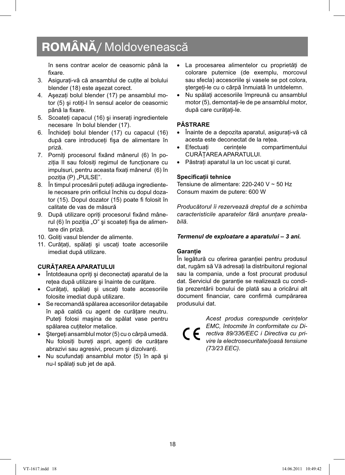# **ROMÂNĂ/** Moldovenească

în sens contrar acelor de ceasornic până la fixare.

- 3. Asigurați-vă că ansamblul de cuțite al bolului blender (18) este aşezat corect.
- 4. Asezati bolul blender (17) pe ansamblul motor (5) şi rotiţi-l în sensul acelor de ceasornic până la fixare.
- 5. Scoateţi capacul (16) şi inseraţi ingredientele necesare în bolul blender (17).
- 6. Închideţi bolul blender (17) cu capacul (16) după care introduceti fișa de alimentare în priză.
- 7. Porniti procesorul fixând mânerul (6) în pozitia II sau folositi regimul de functionare cu impulsuri, pentru aceasta fixați mânerul (6) în poziția (P) "PULSE".
- 8. În timpul procesării puteti adăuga ingredientele necesare prin orificiul închis cu dopul dozator (15). Dopul dozator (15) poate fi folosit în calitate de vas de măsură
- 9. După utilizare opriți procesorul fixând mânerul (6) în poziția "O" și scoateți fișa de alimentare din priză.
- 10. Goliţi vasul blender de alimente.
- 11. Curățați, spălați și uscați toate accesoriile imediat după utilizare.

## **CURĂŢAREA APARATULUI**

- Întotdeauna opriți și deconectați aparatul de la reţea după utilizare şi înainte de curăţare.
- Curăţaţi, spălaţi şi uscaţi toate accesoriile folosite imediat după utilizare.
- Se recomandă spălarea accesoriilor detaşabile în apă caldă cu agent de curăţare neutru. Puteți folosi mașina de spălat vase pentru spălarea cuţitelor metalice.
- Stergeti ansamblul motor (5) cu o cârpă umedă. Nu folosiți bureți aspri, agenți de curățare abrazivi sau agresivi, precum şi dizolvanți.
- Nu scufundati ansamblul motor (5) în apă și nu-l spălati sub jet de apă.
- La procesarea alimentelor cu proprietăti de colorare puternice (de exemplu, morcovul sau sfecla) accesoriile şi vasele se pot colora, stergeti-le cu o cârpă înmuiată în untdelemn.
- Nu spălați accesoriile împreună cu ansamblul motor (5), demontați-le de pe ansamblul motor, după care curătati-le.

## **PĂSTRARE**

- Înainte de a depozita aparatul, asigurati-vă că acesta este deconectat de la reţea.
- Efectuati cerintele compartimentului CURĂŢAREA APARATULUI.
- Păstraţi aparatul la un loc uscat şi curat.

## **Specificatii tehnice**

Tensiune de alimentare: 220-240 V ~ 50 Hz Consum maxim de putere: 600 W

*Producătorul îi rezervează dreptul de a schimba caracteristicile aparatelor fără anunţare prealabilă.* 

## *Termenul de exploatare a aparatului – 3 ani.*

## **Garanţie**

În legătură cu oferirea garanţiei pentru produsul dat, rugăm să Vă adresati la distribuitorul regional sau la compania, unde a fost procurat produsul dat. Serviciul de garanție se realizează cu conditia prezentării bonului de plată sau a oricărui alt document financiar, care confirmă cumpărarea produsului dat.

*Acest produs corespunde cerinţelor EMC, întocmite în conformitate cu Directiva 89/336/EEC i Directiva cu privire la electrosecuritate/joasă tensiune (73/23 EEC).*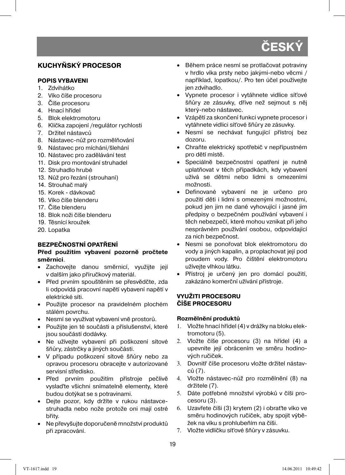# **CESKÝ SOUTHERNÍ SOUTHERNÍ SOUTHERNÍ SOUTHERNÍ SOUTHERNÍ SOUTHERNÍ SOUTHERNÍ SOUTHERNÍ SOUTHERNÍ SOUTHERNÍ SOU**

## **KUCHYŇSKÝ PROCESOR**

## **POPIS VYBAVENI**

- 1. Zdvihátko
- 2. Víko číše procesoru
- 3. Číše procesoru
- 4. Hnací hřídel
- 5. Blok elektromotoru
- 6. Klička zapojení /regulátor rychlosti
- 7. Držitel nástavců
- 8. Nástavec-nůž pro rozmělňování
- 9. Nástavec pro míchání/šlehání
- 10. Nástavec pro zadělávání test
- 11. Disk pro montování struhadel
- 12. Struhadlo hrubé
- 13. Nůž pro řezání (strouhaní)
- 14. Strouhač malý
- 15. Korek dávkovač
- 16. Víko číše blenderu
- 17. Číše blenderu
- 18. Blok noži číše blenderu
- 19. Těsnící kroužek
- 20. Lopatka

## **BEZPEČNOSTNÍ OPATŘENÍ**

## **Před použitím vybavení pozorně pročtete směrnici**.

- Zachovejte danou směrnicí, využijte její v dalším jako příručkový materiál.
- Před prvním spouštěním se přesvědčte, zda li odpovídá pracovní napětí vybavení napětí v elektrické síti.
- Použijte procesor na pravidelném plochém stálém povrchu.
- Nesmí se využívat vybavení vně prostorů.
- Použijte jen té součásti a příslušenství, které jsou součástí dodávky.
- Ne užívejte vybavení při poškození sítové šňůry, zástrčky a jiných součásti.
- V případu poškození sítové šňůry nebo za opravou procesoru obracejte v autorizované servisní středisko.
- Před prvním použitím přístroje pečlivě vyslaďte všichni snímatelně elementy, které budou dotýkat se s potravinami.
- Dejte pozor, kdy držíte v rukou nástavcestruhadla nebo nože protože oni mají ostré břity.
- Ne převyšujte doporučeně množství produktů při zpracování.
- Během práce nesmí se protlačovat potraviny v hrdlo víka prsty nebo jakými-nebo věcmi / například, lopatkou/. Pro ten účel používejte jen zdvihadlo.
- Vypnete procesor i vytáhnete vidlice síťové šňůry ze zásuvky, dříve než sejmout s něj který-nebo nástavec.
- Vzápětí za skončení funkci vypnete procesor i vytáhnete vidlici síťové šňůry ze zásuvky.
- Nesmí se nechávat fungující přístroj bez dozoru.
- Chraňte elektrický spotřebič v nepřípustném pro dětí místě.
- Speciálně bezpečnostní opatření je nutně uplatňovat v těch případkách, kdy vybavení užívá se dětmi nebo lidmi s omezeními možnosti.
- Definované vybavení ne je určeno pro použití děti i lidmi s omezenými možnostmi, pokud jen jim ne dané vyhovující i jasné jim předpisy o bezpečném používání vybavení i těch nebezpečí, které mohou vznikat při jeho nesprávném používání osobou, odpovídající za nich bezpečnost.
- Nesmi se ponořovat blok elektromotoru do vody a jiných kapalin, a proplachovat její pod proudem vody. Pro čištění elektromotoru užívejte vlhkou látku.
- Přístroj je určený jen pro domácí použití, zakázáno komerční užívání přístroje.

## **VYUŽITI PROCESORU ČÍŠE PROCESORU**

## **Rozmělnění produktů**

- 1. Vložte hnací hřídel (4) v drážky na bloku elektromotoru (5).
- 2. Vložte číše procesoru (3) na hřídel (4) a upevníte její obrácením ve směru hodinových ručiček.
- 3. Dovnitř číše procesoru vložte držitel nástavců (7).
- 4. Vložte nástavec-nůž pro rozmělnění (8) na držitele (7).
- 5. Dáte potřebné množství výrobků v číši procesoru (3).
- 6. Uzavřete číši (3) krytem (2) i obraťte víko ve směru hodinových ručiček, aby spojit výběžek na víku s prohlubeňím na číši.
- 7. Vložte vidličku síťové šňůry v zásuvku.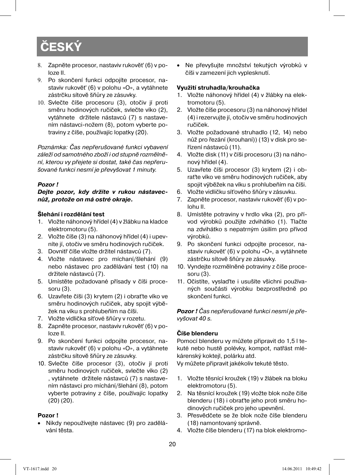# **ČESKÝ**

- 8. Zapněte procesor, nastaviv rukověť (6) v poloze II.
- 9. Po skončení funkci odpojíte procesor, nastaviv rukověť (6) v polohu «O», a vytáhnete zástrčku sítově šňůry ze zásuvky.
- 10. Svlečte číše procesoru (3), otočiv jí proti směru hodinových ručiček, svlečte víko (2), vytáhnete držitele nástavců (7) s nastavením nástavci-nožem (8), potom vyberte potraviny z číše, používajíc lopatky (20).

Poznámka: Čas nepřerušované funkci vybavení záleží od samotného zboží i od stupně rozmělnění, kterou vy přejete si dostat, také čas nepřerušované funkci nesmí je převyšovat 1 minuty.

## *Pozor !*

*Dejte pozor, kdy držíte v rukou nástavecnůž, protože on má ostré okraje.*

## **Šlehání i rozdělání test**

- 1. Vložte náhonový hřídel (4) v žlábku na kladce elektromotoru (5).
- 2. Vložte číše (3) na náhonový hřídel (4) i upevníte jí, otočiv ve směru hodinových ručiček.
- 3. Dovnitř číše vložte držitel nástavců (7).
- 4. Vložte nástavec pro míchaní/šlehání (9) nebo nástavec pro zadělávání test (10) na držitele nástavců (7).
- 5. Umístěte požadované přísady v číši procesoru (3).
- 6. Uzavřete číši (3) krytem (2) i obraťte víko ve směru hodinových ručiček, aby spojit výběžek na víku s prohlubeňím na číši.
- 7. Vložte vidlička síťové šňůry v rozetu.
- 8. Zapněte procesor, nastaviv rukověť (6) v poloze II.
- 9. Po skončení funkci odpojíte procesor, nastaviv rukověť (6) v polohu «O», a vytáhnete zástrčku sítově šňůry ze zásuvky.
- 10. Svlečte číše procesor (3), otočiv jí proti směru hodinových ručiček, svlečte víko (2) , vytáhnete držitele nástavců (7) s nastavením nástavci pro míchání/šlehání (8), potom vyberte potraviny z číše, používajíc lopatky (20) (20).

## **Pozor !**

• Nikdy nepoužívejte nástavec (9) pro zadělávání těsta.

• Ne převyšujte množství tekutých výrobků v číši v zamezení jich vyplesknutí.

## **Využití struhadla/krouhačka**

- 1. Vložte náhonový hřídel (4) v žlábky na elektromotoru (5).
- 2. Vložte číše procesoru (3) na náhonový hřídel (4) i rezervujte jí, otočiv ve směru hodinových ručiček.
- 3. Vložte požadované struhadlo (12, 14) nebo nůž pro řezání (krouhaní)) (13) v disk pro seřízení nástavců (11).
- 4. Vložte disk (11) v číši procesoru (3) na náhonový hřídel (4).
- 5. Uzavřete číši procesor (3) krytem (2) i obraťte víko ve směru hodinových ručiček, aby spojit výběžek na víku s prohlubeňím na číši.
- 6. Vložte vidličku síťového šňůry v zásuvku.
- 7. Zapněte procesor, nastaviv rukověť (6) v polohu II.
- 8. Umístěte potraviny v hrdlo víka (2), pro přívod výrobků použijte zdvihátko (1). Tlačte na zdvihátko s nepatrným úsilím pro přívod výrobků.
- 9. Po skončení funkci odpojíte procesor, nastaviv rukověť (6) v polohu «O», a vytáhnete zástrčku sítově šňůry ze zásuvky.
- 10. Vyndejte rozmělněné potraviny z číše procesoru (3).
- 11. Očistíte, vyslaďte i usušíte všichni používaných součásti výrobku bezprostředně po skončení funkci.

*Pozor !* Čas nepřerušované funkci nesmí je převyšovat 40 s.

## **Číše blenderu**

Pomocí blenderu vy můžete připravit do 1,5 l tekuté nebo hustě polévky, kompot, natřást mlékárenský koktejl, polárku atd.

Vy můžete připravit jakékoliv tekuté těsto.

- 1. Vložte těsnící kroužek (19) v žlábek na bloku elektromotoru (5).
- 2. Na těsnící kroužek (19) vložte blok nože číše blenderu (18) i obraťte jeho proti směru hodinových ručiček pro jeho upevnění.
- 3. Přesvědčete se že blok nože číše blenderu (18) namontovaný správně.
- 4. Vložte číše blenderu (17) na blok elektromo-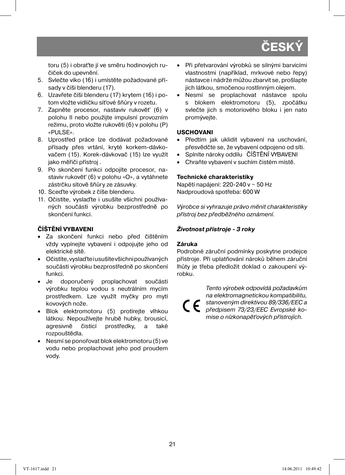# **CESKÝ SOUTHERNÍ SOUTHERNÍ SOUTHERNÍ SOUTHERNÍ SOUTHERNÍ SOUTHERNÍ SOUTHERNÍ SOUTHERNÍ SOUTHERNÍ SOUTHERNÍ SOU**

toru (5) i obraťte jí ve směru hodinových ručiček do upevnění.

- 5. Svlečte víko (16) i umístěte požadované přísady v číši blenderu (17).
- 6. Uzavřete číši blenderu (17) krytem (16) i potom vložte vidličku síťové šňůry v rozetu.
- 7. Zapněte procesor, nastaviv rukověť (6) v polohu II nebo použijte impulsní provozním režimu, proto vložte rukověti (6) v polohu (P) «PULSE».
- 8. Uprostřed práce lze dodávat požadované přísady přes vrtání, kryté korkem-dávkovačem (15). Korek-dávkovač (15) lze využít jako měřiči přístroj .
- 9. Po skončení funkci odpojíte procesor, nastaviv rukověť (6) v polohu «O», a vytáhnete zástrčku sítově šňůry ze zásuvky.
- 10. Sceďte výrobek z číše blenderu.
- 11. Očistíte, vyslaďte i usušíte všichni používaných součásti výrobku bezprostředně po skončení funkci.

## **ČÍŠTĚNÍ VYBAVENI**

- Za skončení funkci nebo před čištěním vždy vypínejte vybavení i odpojujte jeho od elektrické sítě.
- Očistíte, vyslaď te i usušíte všichni používaných součásti výrobku bezprostředně po skončení funkci.
- Je doporučený proplachovat součásti výrobku teplou vodou s neutrálním mycím prostředkem. Lze využít myčky pro mytí kovových nože.
- Blok elektromotoru (5) protírejte vlhkou látkou. Nepoužívejte hrubě hubky, brousicí, agresivně čisticí prostředky, a také rozpouštědla.
- Nesmí se ponořovat blok elektromotoru (5) ve vodu nebo proplachovat jeho pod proudem vody.
- Při přetvarování výrobků se silnými barvicími vlastnostmi (například, mrkvové nebo řepy) nástavce i nádrže můžou zbarvit se, prošlapte jich látkou, smočenou rostlinným olejem.
- Nesmí se proplachovat nástavce spolu s blokem elektromotoru (5), zpočátku svlečte jich s motoriového bloku i jen nato promývejte.

## **USCHOVANI**

- Předtím jak uklidit vybavení na uschování, přesvědčte se, že vybavení odpojeno od síti.
- Splníte nároky oddílu ČÍŠTĚNÍ VYBAVENI
- Chraňte vybavení v suchím čistém místě.

## **Technické charakteristiky**

Napětí napájení: 220-240 v ~ 50 Hz Nadproudová spotřeba: 600 W

Výrobce si vyhrazuje právo měnit charakteristiky přístroj bez předběžného oznámení.

## *Životnost přístroje - 3 roky*

## **Záruka**

Podrobné záruční podmínky poskytne prodejce přístroje. Při uplatňování nároků během záruční lhůty je třeba předložit doklad o zakoupení výrobku.



Tento výrobek odpovídá požadavkům na elektromagnetickou kompatibilitu, stanoveným direktivou 89/336/EEC a předpisem 73/23/EEC Evropské komise o nízkonapěťových přístrojích.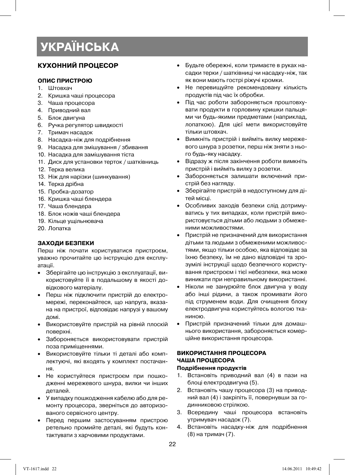# **УКРАЇНСЬКА**

## **КУХОННИЙ ПРОЦЕСОР**

### **ОПИС ПРИСТРОЮ**

- 1. Штовхач
- 2. Кришка чаші процесора
- 3. Чаша процесора
- 4. Приводний вал
- 5. Блок двигуна
- 6. Ручка регулятор швидкості
- 7. Тримач насадок
- 8. Насадка-ніж для подрібнення
- 9. Насадка для змішування / збивання
- 10. Насадка для замішування тіста
- 11. Диск для установки терток / шатківниць
- 12. Терка велика
- 13. Ніж для нарізки (шинкування)
- 14. Терка дрібна
- 15. Пробка-дозатор
- 16. Кришка чаші блендера
- 17. Чаша блендера
- 18. Блок ножів чаші блендера
- 19. Кільце ущільнювача
- 20. Лопатка

## **ЗАХОДИ БЕЗПЕКИ**

Перш ніж почати користуватися пристроєм, уважно прочитайте цю інструкцію для експлуатації.

- Зберігайте цю інструкцію з експлуатації, використовуйте її в подальшому в якості довідкового матеріалу.
- Перш ніж підключити пристрій до електромережі, переконайтеся, що напруга, вказана на пристрої, відповідає напрузі у вашому домі.
- Використовуйте пристрій на рівній плоскій поверхні.
- Забороняється використовувати пристрій поза приміщеннями.
- Використовуйте тільки ті деталі або комплектуючі, які входять у комплект постачання.
- Не користуйтеся пристроєм при пошкодженні мережевого шнура, вилки чи інших деталей.
- У випадку пошкодження кабелю або для ремонту процесора, зверніться до авторизованого сервісного центру.
- Перед першим застосуванням пристрою ретельно промийте деталі, які будуть контактувати з харчовими продуктами.
- Будьте обережні, коли тримаєте в руках насадки терки / шатківниці чи насадку-ніж, так як вони мають гострі ріжучі кромки.
- Не перевищуйте рекомендовану кількість продуктів під час їх обробки.
- Під час роботи забороняється проштовхувати продукти в горловину кришки пальцями чи будь-якими предметами (наприклад, лопаткою). Для цієї мети використовуйте тільки штовхач.
- Вимкніть пристрій і вийміть вилку мережевого шнура з розетки, перш ніж зняти з нього будь-яку насадку.
- Відразу ж після закінчення роботи вимкніть пристрій і вийміть вилку з розетки.
- Забороняється залишати включений пристрій без нагляду.
- Зберігайте пристрій в недоступному для дітей місці.
- Особливих заходів безпеки слід дотримуватись у тих випадках, коли пристрій використовується дітьми або людьми з обмеженими можливостями.
- Пристрій не призначений для використання дітьми та людьми з обмеженими можливостями, якщо тільки особою, яка відповідає за їхню безпеку, їм не дано відповідні та зрозумілі інструкції щодо безпечного користування пристроєм і тієї небезпеки, яка може виникати при неправильному використанні.
- Ніколи не занурюйте блок двигуна у воду або інші рідини, а також промивати його під струменем води. Для очищення блоку електродвигуна користуйтесь вологою тканиною.
- Пристрій призначений тільки для домашнього використання, забороняється комерційне використання процесора.

## **ВИКОРИСТАННЯ ПРОЦЕСОРА ЧАША ПРОЦЕСОРА**

## **Подрібнення продуктів**

- 1. Встановіть приводний вал (4) в пази на блоці електродвигуна (5).
- 2. Встановіть чашу процесора (3) на приводний вал (4) і закріпіть її, повернувши за годинниковою стрілкою.
- 3. Всередину чаші процесора встановіть утримувач насадок (7).
- 4. Встановіть насадку-ніж для подрібнення (8) на тримач (7).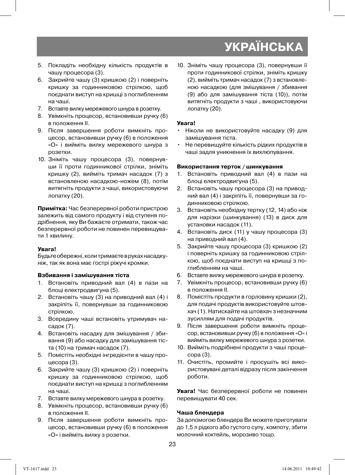# **УКРАЇНСЬКА**

- 5. Покладіть необхідну кількість продуктів в чашу процесора (3).
- 6. Закрийте чашу (3) кришкою (2) і поверніть кришку за годинниковою стрілкою, щоб поєднати виступ на кришці з поглибленням на чаші.
- 7. Вставте вилку мережевого шнура в розетку.
- 8. Увімкніть процесор, встановивши ручку (6) в положення II.
- 9. Після завершення роботи вимкніть процесор, встановивши ручку (6) в положення «O» і вийміть вилку мережевого шнура з розетки.
- 10. Зніміть чашу процесора (3), повернувши її проти годинникової стрілки, зніміть кришку (2), вийміть тримач насадок (7) з встановленою насадкою-ножем (8), потім витягніть продукти з чаші, використовуючи лопатку (20).

**Примітка:** Час безперервної роботи пристрою залежить від самого продукту і від ступеня подрібнення, яку Ви бажаєте отримати, також час безперервної роботи не повинен перевищувати 1 хвилину.

#### **Увага!**

Будьте обережні, коли тримаєте в руках насадкуніж, так як вона має гострі ріжучі кромки.

#### **Взбивання і замішування тіста**

- 1. Встановіть приводний вал (4) в пази на блоці електродвигуна (5).
- 2. Встановіть чашу (3) на приводний вал (4) і закріпіть її, повернувши за годинниковою стрілкою.
- 3. Всередину чаші встановіть утримувач насадок (7).
- 4. Встановіть насадку для змішування / збивання (9) або насадку для замішування тіста (10) на тримач насадок (7).
- 5. Помістіть необхідні інгредієнти в чашу процесора (3).
- 6. Закрийте чашу (3) кришкою (2) і поверніть кришку за годинниковою стрілкою, щоб поєднати виступ на кришці з поглибленням на чаші.
- 7. Вставте вилку мережевого шнура в розетку.
- 8. Увімкніть процесор, встановивши ручку (6) в положення II.
- 9. Після завершення роботи вимкніть процесор, встановивши ручку (6) в положення «O» і вийміть вилку з розетки.

10. Зніміть чашу процесора (3), повернувши її проти годинникової стрілки, зніміть кришку (2), вийміть тримач насадок (7) з встановленою насадкою (для змішування / збивання (9) або для замішування тіста (10)), потім витягніть продукти з чаші , використовуючи лопатку (20).

#### **Увага!**

- Ніколи не використовуйте насадку (9) для замішування тіста.
- Не перевищуйте кількість рідких продуктів в чаші задля уникнення їх вихлюпування.

#### **Використання терток / шинкування**

- 1. Встановіть приводний вал (4) в пази на блоці електродвигуна (5).
- 2. Встановіть чашу процесора (3) на приводний вал (4) і закріпіть її, повернувши за годинниковою стрілкою.
- 3. Встановіть необхідну тертку (12, 14) або ніж для нарізки (шинкування) (13) в диск для установки насадок (11).
- 4. Встановіть диск (11) у чашу процесора (3) на приводний вал (4).
- 5. Закрийте чашу процесора (3) кришкою (2) і поверніть кришку за годинниковою стрілкою, щоб поєднати виступ на кришці з поглибленням на чаші.
- 6. Вставте вилку мережевого шнура в розетку.
- 7. Увімкніть процесор, встановивши ручку (6) в положення II.
- 8. Помістіть продукти в горловину кришки (2), для подачі продуктів використовуйте штовхач (1). Натискайте на штовхач з незначним зусиллям для подачі продуктів.
- 9. Після завершення роботи вимкніть процесор, встановивши ручку (6) в положення «O» і вийміть вилку мережевого шнура з розетки.
- 10. Вийміть подрібнені продукти з чаші процесора (3).
- 11. Очистіть, промийте і просушіть всі використовувані деталі відразу після закінчення роботи.

**Увага!** Час безперервної роботи не повинен перевищувати 40 сек.

#### **Чаша блендера**

За допомогою блендера Ви можете приготувати до 1,5 л рідкого або густого супу, компоту, збити молочний коктейль, морозиво тощо.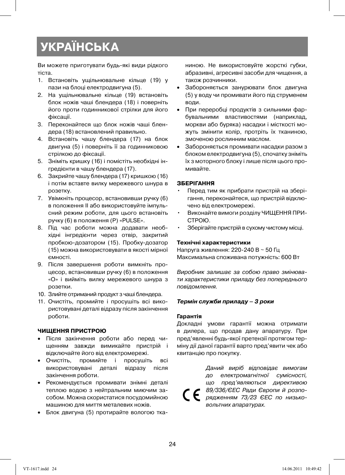# **УКРАЇНСЬКА**

Ви можете приготувати будь-які види рідкого тіста.

- 1. Встановіть ущільнювальне кільце (19) у пази на блоці електродвигуна (5).
- 2. На ущільнювальне кільце (19) встановіть блок ножів чаші блендера (18) і поверніть його проти годинникової стрілки для його фіксації.
- 3. Переконайтеся що блок ножів чаші блендера (18) встановлений правильно.
- 4. Встановіть чашу блендера (17) на блок двигуна (5) і поверніть її за годинниковою стрілкою до фіксації.
- 5. Зніміть кришку (16) і помістіть необхідні інгредієнти в чашу блендера (17).
- 6. Закрийте чашу блендера (17) кришкою (16) і потім вставте вилку мережевого шнура в розетку.
- 7. Увімкніть процесор, встановивши ручку (6) в положення II або використовуйте імпульсний режим роботи, для цього встановіть ручку (6) в положення (Р) «PULSE».
- 8. Під час роботи можна додавати необхідні інгредієнти через отвір, закритий пробкою-дозатором (15). Пробку-дозатор (15) можна використовувати в якості мірної ємності.
- 9. Після завершення роботи вимкніть процесор, встановивши ручку (6) в положення «O» і вийміть вилку мережевого шнура з розетки.
- 10. Злийте отриманий продукт з чаші блендера.
- 11. Очистіть, промийте і просушіть всі використовувані деталі відразу після закінчення роботи.

## **ЧИЩЕННЯ ПРИСТРОЮ**

- Після закінчення роботи або перед чищенням завжди вимикайте пристрій і відключайте його від електромережі.
- Очистіть, промийте і просушіть всі використовувані деталі відразу після закінчення роботи.
- Рекомендується промивати знімні деталі теплою водою з нейтральним миючим засобом. Можна скористатися посудомийною машиною для миття металевих ножів.
- Блок двигуна (5) протирайте вологою тка-

ниною. Не використовуйте жорсткі губки, абразивні, агресивні засоби для чищення, а також розчинники.

- Забороняється занурювати блок двигуна (5) у воду чи промивати його під струменем води.
- При переробці продуктів з сильними фарбувальними властивостями (наприклад, моркви або буряка) насадки і місткості можуть змінити колір, протріть їх тканиною, змоченою рослинним маслом.
- Забороняється промивати насадки разом з блоком електродвигуна (5), спочатку зніміть їх з моторного блоку і лише після цього промивайте.

### **ЗБЕРІГАННЯ**

- Перед тим як прибрати пристрій на зберігання, переконайтеся, що пристрій відключено від електромережі.
- Виконайте вимоги розділу ЧИЩЕННЯ ПРИ-СТРОЮ.
- Зберігайте пристрій в сухому чистому місці.

#### **Технічні характеристики**

Напруга живлення: 220-240 В ~ 50 Гц Максимальна споживана потужність: 600 Вт

Виробник залишає за собою право змінювати характеристики приладу без попереднього повідомлення.

### *Термін служби приладу – 3 роки*

#### **Гарантія**

Докладні умови гарантії можна отримати в дилера, що продав дану апаратуру. При пред'явленні будь-якої претензії протягом терміну дії даної гарантії варто пред'явити чек або квитанцію про покупку.

> Даний виріб відповідає вимогам до електромагнітної сумісності, що пред'являються директивою 89/336/ЄЕС Ради Європи й розпорядженням 73/23 ЄЕС по низьковольтних апаратурах.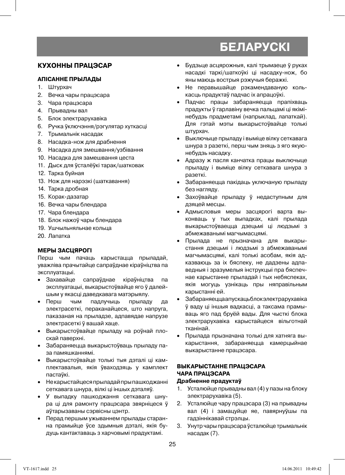## **БЕЛАРУСКI**

## **КУХОННЫ ПРАЦЭСАР**

## **АПІСАННЕ ПРЫЛАДЫ**

- 1. Штурхач
- 2. Вечка чары працэсара
- 3. Чара працэсара
- 4. Прывадны вал
- 5. Блок электрарухавіка
- 6. Ручка ўключэння/рэгулятар хуткасці
- 7. Трымальнік насадак
- 8. Насадка-нож для драбнення
- 9. Насадка для змешвання/узбівання
- 10. Насадка для замешвання цеста
- 11. Дыск для ўсталёўкі тарак/шатковак
- 12. Тарка буйная
- 13. Нож для нарэзкі (шаткавання)
- 14. Тарка дробная
- 15. Корак-дазатар
- 16. Вечка чары блендара
- 17. Чара блендара
- 18. Блок нажоў чары блендара
- 19. Ушчыльняльнае кольца
- 20. Лапатка

## **МЕРЫ ЗАСЦЯРОГІ**

Перш чым пачаць карыстацца прыладай, уважліва прачытайце сапраўднае кіраўніцтва па эксплуатацыі.

- Захавайце сапраўднае кіраўніцтва па эксплуатацыі, выкарыстоўвайце яго ў далейшым у якасці даведкавага матэрыялу.
- Перш чым падлучыць прыладу да электрасеткі, пераканайцеся, што напруга, паказаная на прыладзе, адпавядае напрузе электрасеткі ў вашай хаце.
- Выкарыстоўвайце прыладу на роўнай плоскай паверхні.
- Забараняецца выкарыстоўваць прыладу паза памяшканнямі.
- Выкарыстоўвайце толькі тыя дэталі ці камплектавалыя, якія ўваходзяць у камплект пастаўкі.
- Не карыстайцеся прыладай пры пашкоджанні сеткавага шнура, вілкі ці іншых дэталяў.
- У выпадку пашкоджання сеткавага шнура ці для рамонту працэсара звярніцеся ў аўтарызаваны сэрвісны цэнтр.
- Перад першым ужываннем прылады старанна прамыйце ўсе здымныя дэталі, якія будуць кантактаваць з харчовымі прадуктамі.
- Будзьце асцярожныя, калі трымаеце ў руках насадкі таркі/шаткоўкі ці насадку-нож, бо яны маюць вострыя рэжучыя беражкі.
- Не перавышайце рэкамендаваную колькасць прадуктаў падчас іх апрацоўкі.
- Падчас працы забараняецца прапіхваць прадукты ў гарлавіну вечка пальцамі ці якімінебудзь прадметамі (напрыклад, лапаткай). Для гэтай мэты выкарыстоўвайце толькі штурхач.
- Выключыце прыладу і выміце вілку сеткавага шнура з разеткі, перш чым зняць з яго якуюнебудзь насадку.
- Адразу ж пасля канчатка працы выключыце прыладу і выміце вілку сеткавага шнура з разеткі.
- Забараняецца пакідаць уключаную прыладу без нагляду.
- Захоўвайце прыладу ў недаступным для дзяцей месцы.
- Адмысловыя меры засцярогі варта выконваць у тых выпадках, калі прылада выкарыстоўваецца дзецьмі ці людзьмі з абмежаванымі магчымасцямі.
- Прылада не прызначана для выкарыстання дзецьмі і людзьмі з абмежаванымі магчымасцямі, калі толькі асобам, якія адказваюць за іх бяспеку, не дадзены адпаведныя і зразумелыя інструкцыі пра бяспечнае карыстанне прыладай і тых небяспеках, якія могуць узнікаць пры няправільным карыстанні ей.
- Забараняецца апускаць блок электрарухавіка ў ваду ці іншыя вадкасці, а таксама прамываць яго пад бруёй вады. Для чысткі блока электрарухавіка карыстайцеся вільготнай тканінай.
- Прылада прызначана толькі для хатняга выкарыстання, забараняецца камерцыйнае выкарыстанне працэсара.

## **ВЫКАРЫСТАННЕ ПРАЦЭСАРА ЧАРА ПРАЦЭСАРА**

## **Драбненне прадуктаў**

- 1. Усталюйце прывадны вал (4) у пазы на блоку электрарухавіка (5).
- 2. Усталюйце чару працэсара (3) на прывадны вал (4) і замацуйце яе, павярнуўшы па гадзіннікавай стрэлцы.
- 3. Унутр чары працэсара ўсталюйце трымальнік насадак (7).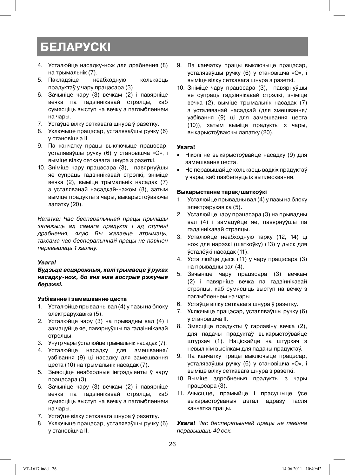## **БЕЛАРУСКI**

- 4. Усталюйце насадку-нож для драбнення (8) на трымальнік (7).
- 5. Пакладзіце неабходную колькасць прадуктаў у чару працэсара (3).
- 6. Зачыніце чару (3) вечкам (2) і павярніце вечка па гадзіннікавай стрэлцы, каб сумясціць выступ на вечку з паглыбленнем на чары.
- 7. Устаўце вілку сеткавага шнура ў разетку.
- 8. Уключыце працэсар, усталяваўшы ручку (6) у становішча II.
- 9. Па канчатку працы выключыце працэсар, усталяваўшы ручку (6) у становішча «O», і выміце вілку сеткавага шнура з разеткі.
- 10. Зніміце чару працэсара (3), павярнуўшы яе супраць гадзіннікавай стрэлкі, зніміце вечка (2), выміце трымальнік насадак (7) з усталяванай насадкай-нажом (8), затым выміце прадукты з чары, выкарыстоўваючы лапатку (20).

Нататка: Час бесперапыннай працы прылады залежыць ад самага прадукта і ад ступені драбнення, якую Вы жадаеце атрымаць, таксама час бесперапыннай працы не павінен перавышаць 1 хвіліну.

### *Увага!*

*Будзьце асцярожныя, калі трымаеце ў руках насадку-нож, бо яна мае вострыя рэжучыя беражкі.*

### **Узбіванне і замешванне цеста**

- 1. Усталюйце прывадны вал (4) у пазы на блоку электрарухавіка (5).
- 2. Усталюйце чару (3) на прывадны вал (4) і замацуйце яе, павярнуўшы па гадзіннікавай стрэлцы.
- 3. Унутр чары ўсталюйце трымальнік насадак (7).
- 4. Усталюйце насадку для змешвання/ узбівання (9) ці насадку для замешвання цеста (10) на трымальнік насадак (7).
- 5. Змясціце неабходныя інгрэдыенты ў чару працэсара (3).
- 6. Зачыніце чару (3) вечкам (2) і павярніце вечка па гадзіннікавай стрэлцы, каб сумясціць выступ на вечку з паглыбленнем на чары.
- 7. Устаўце вілку сеткавага шнура ў разетку.
- 8. Уключыце працэсар, усталяваўшы ручку (6) у становішча II.
- 9. Па канчатку працы выключыце працэсар, усталяваўшы ручку (6) у становішча «O», і выміце вілку сеткавага шнура з разеткі.
- 10. Зніміце чару працэсара (3), павярнуўшы яе супраць гадзіннікавай стрэлкі, зніміце вечка (2), выміце трымальнік насадак (7) з усталяванай насадкай (для змешвання/ узбівання (9) ці для замешвання цеста (10)), затым выміце прадукты з чары, выкарыстоўваючы лапатку (20).

#### **Увага!**

- Ніколі не выкарыстоўвайце насадку (9) для замешвання цеста.
- Не перавышайце колькасць вадкіх прадуктаў у чары, каб пазбегнуць іх выплесквання.

#### **Выкарыстанне тарак/шаткоўкі**

- 1. Усталюйце прывадны вал (4) у пазы на блоку электрарухавіка (5).
- 2. Усталюйце чару працэсара (3) на прывадны вал (4) і замацуйце яе, павярнуўшы па гадзіннікавай стрэлцы.
- 3. Усталюйце неабходную тарку (12, 14) ці нож для нарэзкі (шаткоўку) (13) у дыск для ўсталёўкі насадак (11).
- 4. Уста люйце дыск (11) у чару працэсара (3) на прывадны вал (4).
- 5. Зачыніце чару працэсара (3) вечкам (2) і павярніце вечка па гадзіннікавай стрэлцы, каб сумясціць выступ на вечку з паглыбленнем на чары.
- 6. Устаўце вілку сеткавага шнура ў разетку.
- 7. Уключыце працэсар, усталяваўшы ручку (6) у становішча II.
- 8. Змясціце прадукты ў гарлавіну вечка (2), для падачы прадуктаў выкарыстоўвайце штурхач (1). Націскайце на штурхач з невылікім высілкам для падачы прадуктаў.
- 9. Па канчатку працы выключыце працэсар, усталяваўшы ручку (6) у становішча «O», і выміце вілку сеткавага шнура з разеткі.
- 10. Выміце здробненыя прадукты з чары працэсара (3).
- 11. Ачысціце, прамыйце і прасушыце ўсе выкарыстоўваныя дэталі адразу пасля канчатка працы.

*Увага!* Час бесперапыннай працы не павінна перавышаць 40 сек.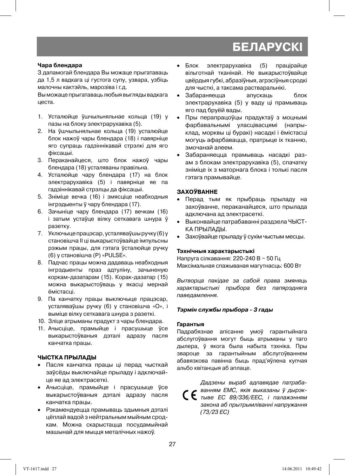## **БЕЛАРУСКI**

#### **Чара блендара**

З дапамогай блендара Вы можаце прыгатаваць да 1,5 л вадкага ці густога супу, узвара, узбіць малочны кактэйль, марозіва і г.д.

Вы можаце прыгатаваць любыя выгляды вадкага цеста.

- 1. Усталюйце ўшчыльняльнае кольца (19) у пазы на блоку электрарухавіка (5).
- 2. На ўшчыльняльнае кольца (19) усталюйце блок нажоў чары блендара (18) і павярніце яго супраць гадзіннікавай стрэлкі для яго фіксацыі.
- 3. Пераканайцеся, што блок нажоў чары блендара (18) усталяваны правільна.
- 4. Усталюйце чару блендара (17) на блок электрарухавіка (5) і павярніце яе па гадзіннікавай стрэлцы да фіксацыі.
- 5. Зніміце вечка (16) і змясціце неабходныя інгрэдыенты ў чару блендара (17).
- 6. Зачыніце чару блендара (17) вечкам (16) і затым устаўце вілку сеткавага шнура ў разетку.
- 7. Уключыце працэсар, усталяваўшы ручку (6) у становішча II ці выкарыстоўвайце імпульсны рэжым працы, для гэтага ўсталюйце ручку (6) у становішча (Р) «PULSE».
- 8. Падчас працы можна дадаваць неабходныя інгрэдыенты праз адтуліну, зачыненую коркам-дазатарам (15). Корак-дазатар (15) можна выкарыстоўваць у якасці мернай ёмістасці.
- 9. Па канчатку працы выключыце працэсар, усталяваўшы ручку (6) у становішча «O», і выміце вілку сеткавага шнура з разеткі.
- 10. Зліце атрыманы прадукт з чары блендара.
- 11. Ачысціце, прамыйце і прасушыце ўсе выкарыстоўваныя дэталі адразу пасля канчатка працы.

### **ЧЫСТКА ПРЫЛАДЫ**

- Пасля канчатка працы ці перад чысткай заўсёды выключайце прыладу і адключайце яе ад электрасеткі.
- Ачысціце, прамыйце і прасушыце ўсе выкарыстоўваныя дэталі адразу пасля канчатка працы.
- Рэкамендуецца прамываць здымныя дэталі цёплай вадой з нейтральным мыйным сродкам. Можна скарыстацца посудамыйнай машынай для мыцця металічных нажоў.
- Блок электрарухавіка (5) працірайце вільготнай тканінай. Не выкарыстоўвайце цвёрдыя губкі, абразіўныя, агрэсіўныя сродкі для чысткі, а таксама растваральнікі.
- Забараняецца апускаць блок электрарухавіка (5) у ваду ці прамываць яго пад бруёй вады.
- Пры перапрацоўцы прадуктаў з моцнымі фарбавальнымі уласцівасцямі (напрыклад, морквы ці буракі) насадкі і ёмістасці могуць афарбавацца, пратрыце іх тканню, змочанай алеем.
- Забараняецца прамываць насадкі разам з блокам электрарухавіка (5), спачатку зніміце іх з маторнага блока і толькі пасля гэтага прамывайце.

## **ЗАХОЎВАННЕ**

- Перад тым як прыбраць прыладу на захоўванне, пераканайцеся, што прылада адключана ад электрасеткі.
- Выконвайце патрабаванні раздзела ЧЫСТ-КА ПРЫЛАДЫ.
- Захоўвайце прыладу ў сухім чыстым месцы.

### **Тэхнічныя характарыстыкі**

Напруга сілкавання: 220-240 В ~ 50 Гц Максімальная спажываная магутнасць: 600 Вт

Вытворца пакідае за сабой права змяняць характарыстыкі прыбора без папярэдняга паведамлення.

### *Тэрмін службы прыбора - 3 гады*

### **Гарантыя**

Падрабязнае апісанне умоў гарантыйнага абслугоўвання могут быць атрыманы у таго дылера, ў якога была набыта тэхніка. Пры звароце за гарантыйным абслугоўваннем абавязкова павінна быць прад'яўлена купчая альбо квітанцыя аб аплаце.

Дадзены выраб адпавядае патрабаванням ЕМС, якiя выказаны ў дырэктыве EC 89/336/EEC, і палажэнням закона аб прытрымліванні напружання (73/23 EC)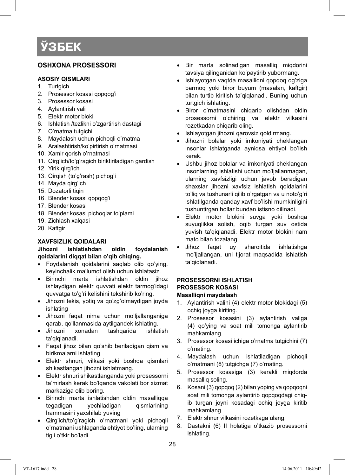# **ЎЗБЕК**

## **OSHXONA PROSESSORI**

## **АSОSIY QISMLАRI**

- 1. Turtgich
- 2. Prоsеssоr kоsаsi qоpqоg'i
- 3. Prоsеssоr kоsаsi
- 4. Аylаntirish vаli
- 5. Еlеktr mоtоr blоki
- 6. Ishlаtish /tеzlikni o'zgаrtirish dаstаgi
- 7. O'rnаtmа tutgichi
- 8. Maydalash uchun pichoqli o'rnatma
- 9. Аrаlаshtirish/ko'pirtirish o'rnаtmаsi
- 10. Хаmir qоrish o'rnаtmаsi
- 11. Qirg'ich/to'g'rаgich biriktirilаdigаn gаrdish
- 12. Yirik qirg'ich
- 13. Qirqish (to'g'rаsh) pichоg'i
- 14. Mavda girg'ich
- 15. Dozatorli tigin
- 16. Blеndеr kоsаsi qоpqоg'i
- 17. Blеndеr kоsаsi
- 18. Blеndеr kоsаsi pichоqlаr to'plаmi
- 19. Zichlаsh хаlqаsi
- 20. Kаftgir

## **ХАVFSIZLIK QОIDАLАRI**

## **Jihоzni ishlаtishdаn оldin fоydаlаnish qоidаlаrini diqqаt bilаn o'qib chiqing.**

- Fоydаlаnish qоidаlаrini sаqlаb оlib qo'ying, kеyinchаlik mа'lumot оlish uchun ishlаtаsiz.
- Birinchi mаrtа ishlаtishdаn оldin jihоz ishlаydigаn elеktr quvvаti elеktr tаrmоg'idаgi quvvаtgа to'g'ri kеlishini tеkshirib ko'ring.
- Jihоzni tеkis, yotiq vа qo'zg'оlmаydigаn jоydа ishlаting
- Jihоzni fаqаt nimа uchun mo'ljаllаngаnigа qаrаb, qo'llаnmаsidа аytilgаndеk ishlаting.
- Jihоzni хоnаdаn tаshqаridа ishlаtish ta'qiqlanadi.
- Fаqаt jihоz bilаn qo'shib bеrilаdigаn qism vа birikmаlаrni ishlаting.
- Elеktr shnuri, vilkаsi yoki bоshqа qismlаri shikаstlаngаn jihоzni ishlаtmаng.
- Elеktr shnuri shikаstlаngаndа yoki prоsеssоrni tа'mirlаsh kеrаk bo'lgаndа vаkоlаti bоr хizmаt mаrkаzigа оlib bоring.
- Birinchi mаrtа ishlаtishdаn оldin mаsаlliqqа tеgаdigаn yеchilаdigаn qismlаrining hаmmаsini yaхshilаb yuving
- Qirg'ich/to'g'rаgich o'rnаtmаni yoki pichоqli o'rnаtmаni ushlаgаndа ehtiyot bo'ling, ulаrning tig'i o'tkir bo'lаdi.
- Bir mаrtа sоlinаdigаn mаsаlliq miqdоrini tаvsiya qilingаnidаn ko'pаytirib yubоrmаng.
- Ishlаyotgаn vаqtdа mаsаlliqni qоpqоq оg'zigа bаrmоq yoki birоr buyum (mаsаlаn, kаftgir) bilаn turtib kiritish tа'qiqlаnаdi. Buning uchun turtgich ishlаting.
- Birоr o'rnаtmаsini chiqаrib оlishdаn оldin prоsеssоrni o'chiring vа elеktr vilkаsini rоzеtkаdаn chiqаrib оling.
- Ishlаyotgаn jihоzni qаrоvsiz qоldirmаng.
- Jihоzni bоlаlаr yoki imkоniyati chеklаngаn insоnlаr ishlаtgаndа аyniqsа ehtiyot bo'lish kеrаk.
- Ushbu jihоz bоlаlаr vа imkоniyati chеklаngаn insоnlаrning ishlаtishi uchun mo'ljаllаnmаgаn, ulаrning хаvfsizligi uchun jаvоb bеrаdigаn shaxslar jihozni xavfsiz ishlatish qoidalarini to'liq vа tushunаrli qilib o'rgаtgаn vа u nоto'g'ri ishlаtilgаndа qаndаy хаvf bo'lishi mumkinligini tushuntirgan hollar bundan istisno qilinadi.
- Elеktr mоtоr blоkini suvgа yoki bоshqа suyuqlikkа sоlish, оqib turgаn suv оstidа yuvish tа'qiqlаnаdi. Elеktr mоtоr blоkini nаm mаtо bilаn tоzаlаng.
- Jihоz fаqаt uy shаrоitidа ishlаtishgа mo'liallangan, uni tijorat magsadida ishlatish tа'qiqlаnаdi.

## **PRОSЕSSОRNI ISHLАTISH PRОSЕSSОR KОSАSI**

## **Mаsаlliqni mаydаlаsh**

- 1. Аylаntirish vаlini (4) elеktr mоtоr blоkidаgi (5) оchiq jоygа kiriting.
- 2. Prоsеssоr kоsаsini (3) аylаntirish vаligа (4) qo'ying vа sоаt mili tоmоngа аylаntirib mаhkаmlаng.
- 3. Prоsеssоr kоsаsi ichigа o'rnаtmа tutgichini (7) o'rnаting.
- 4. Mаydаlаsh uchun ishlаtilаdigаn pichоqli o'rnаtmаni (8) tutgichgа (7) o'rnаting.
- 5. Prоsеssоr kоsаsigа (3) kеrаkli miqdоrdа mаsаlliq sоling.
- 6. Kоsаni (3) qоpqоq (2) bilаn yoping vа qоpqоqni sоаt mili tоmоngа аylаntirib qоpqоqdаgi chiqib turgаn jоyni kоsаdаgi оchiq jоygа kiritib mаhkаmlаng.
- 7. Elеktr shnur vilkаsini rоzеtkаgа ulаng.
- 8. Dаstаkni (6) II hоlаtigа o'tkаzib prоsеssоrni ishlаting.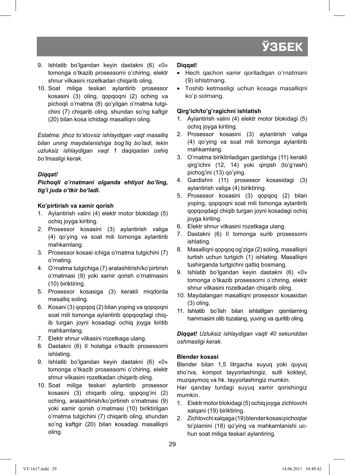

- 9. Ishlаtib bo'lgаndаn kеyin dаstаkni (6) «0» tоmоngа o'tkаzib prоsеssоrni o'chiring, elеktr shnur vilkasini rozetkadan chiqarib oling.
- 10. Sоаt miligа tеskаri аylаntirib prоsеssоr kоsаsini (3) оling, qоpqоqni (2) оching vа pichоqli o'rnаtmа (8) qo'yilgаn o'rnаtmа tutgichini (7) chiqаrib оling, shundаn so'ng kаftgir (20) bilаn kоsа ichidаgi mаsаlliqni оling.

*Eslаtmа: jihоz to'хtоvsiz ishlаydigаn vаqt mаsаlliq bilаn uning mаydаlаnishigа bоg'liq bo'lаdi, lеkin uzluksiz ishlаydigаn vаqt 1 dаqiqаdаn оshiq bo'lmаsligi kеrаk.*

## *Diqqаt!*

*Pichоqli o'rnаtmаni оlgаndа ehtiyot bo'ling, tig'i judа o'tkir bo'lаdi.* 

## **Ko'pirtirish vа хаmir qоrish**

- 1. Аylаntirish vаlini (4) elеktr mоtоr blоkidаgi (5) оchiq jоygа kiriting.
- 2. Prоsеssоr kоsаsini (3) аylаntirish vаligа (4) qo'ying vа sоаt mili tоmоngа аylаntirib mаhkаmlаng.
- 3. Prоsеssоr kоsаsi ichigа o'rnаtmа tutgichini (7) o'rnаting.
- 4. O'rnаtmа tutgichigа (7) аrаlаshtirish/ko'pirtirish o'rnаtmаsi (9) yoki хаmir qоrish o'rnаtmаsini (10) biriktiring.
- 5. Prоsеssоr kоsаsigа (3) kеrаkli miqdоrdа mаsаlliq sоling.
- 6. Kоsаni (3) qоpqоq (2) bilаn yoping vа qоpqоqni sоаt mili tоmоngа аylаntirib qоpqоqdаgi chiqib turgаn jоyni kоsаdаgi оchiq jоygа kiritib mаhkаmlаng.
- 7. Elеktr shnur vilkаsini rоzеtkаgа ulаng.
- 8. Dаstаkni (6) II hоlаtigа o'tkаzib prоsеssоrni ishlаting.
- 9. Ishlаtib bo'lgаndаn kеyin dаstаkni (6) «0» tоmоngа o'tkаzib prоsеssоrni o'chiring, elеktr shnur vilkаsini rоzеtkаdаn chiqаrib оling.
- 10. Sоаt miligа tеskаri аylаntirib prоsеssоr kоsаsini (3) chiqаrib оling, qоpqоg'ini (2) оching, аrаlаshtirish/ko'pirtirish o'rnаtmаsi (9) yoki хаmir qоrish o'rnаtmаsi (10) biriktirilgаn o'rnаtmа tutgichini (7) chiqаrib оling, shundаn so'ng kаftgir (20) bilаn kоsаdаgi mаsаlliqni оling.

## **Diqqаt!**

- Hech qachon xamir qoriladigan o'rnatmani (9) ishlаtmаng.
- Tоshib kеtmаsligi uchun kоsаgа mаsаlliqni ko'p sоlmаng.

## **Qirg'ich/to'g'rаgichni ishlаtish**

- 1. Аylаntirish vаlini (4) elеktr mоtоr blоkidаgi (5) оchiq jоygа kiriting.
- 2. Prоsеssоr kоsаsini (3) аylаntirish vаligа (4) qo'ying vа sоаt mili tоmоngа аylаntirib mаhkаmlаng.
- 3. O'rnаtmа biriktirilаdigаn gаrdishgа (11) kеrаkli qirg'ichni (12, 14) yoki qirqish (to'g'rаsh) pichоg'ini (13) qo'ying.
- 4. Gаrdishni (11) prоsеssоr kоsаsidаgi (3) аylаntirish vаligа (4) biriktiring.
- 5. Prоsеssоr kоsаsini (3) qоpqоq (2) bilаn yoping, qоpqоqni sоаt mili tоmоngа аylаntirib qоpqоqdаgi chiqib turgаn jоyni kоsаdаgi оchiq jоygа kiriting.
- 6. Elеktr shnur vilkаsini rоzеtkаgа ulаng.
- 7. Dаstаkni (6) II tоmоngа surib prоsеssоrni ishlаting.
- 8. Mаsаlliqni qоpqоq оg'zigа (2) sоling, mаsаlliqni turtish uchun turtgich (1) ishlаting. Mаsаlliqni tushirgаndа turtgichni qаttiq bоsmаng.
- 9. Ishlаtib bo'lgаndаn kеyin dаstаkni (6) «0» tоmоngа o'tkаzib prоsеssоrni o'chiring, elеktr shnur vilkаsini rоzеtkаdаn chiqаrib оling.
- 10. Mаydаlаngаn mаsаlliqni prоsеssоr kоsаsidаn (3) оling.
- 11. Ishlatib bo'lish bilan ishlatilgan qismlarning hammasini olib tozalang, yuving va quritib oling.

*Diqqаt! Uzluksiz ishlаydigаn vаqti 40 sеkunddаn оshmаsligi kеrаk.*

## **Blеndеr kоsаsi**

Blеndеr bilаn 1,5 litrgаchа suyuq yoki quyuq sho'rvа, kоmpоt tаyyorlаshingiz, sutli kоktеyl, muzqаymоq vа hk. tаyyorlаshingiz mumkin.

Har qanday turdagi suyuq xamir qorishingiz mumkin.

- 1. Elеktr mоtоr blоkidаgi (5) оchiq jоygа zichlоvchi хаlqаni (19) biriktiring.
- 2. Zichlоvchi хаlqаgа (19) blеndеr kоsаsi pichоqlаr to'plаmini (18) qo'ying vа mаhkаmlаnishi uchun sоаt miligа tеskаri аylаntiring.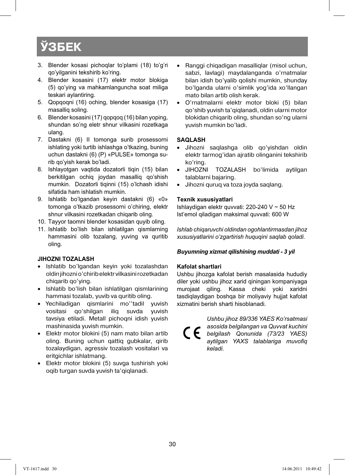# **ЎЗБЕК**

- 3. Blеndеr kоsаsi pichоqlаr to'plаmi (18) to'g'ri qo'yilgаnini tеkshirib ko'ring.
- 4. Blеndеr kоsаsini (17) elеktr mоtоr blоkigа (5) qo'ying vа mаhkаmlаngunchа sоаt miligа tеskаri аylаntiring.
- 5. Qоpqоqni (16) оching, blеndеr kоsаsigа (17) mаsаlliq sоling.
- 6. Blеndеr kоsаsini (17) qоpqоq (16) bilаn yoping, shundаn so'ng elеtr shnur vilkаsini rоzеtkаgа ulаng.
- 7. Dаstаkni (6) II tоmоngа surib prоsеssоrni ishlаting yoki turtib ishlаshgа o'tkаzing, buning uchun dаstаkni (6) (P) «PULSE» tоmоngа surib qo'yish kеrаk bo'lаdi.
- 8. Ishlayotgan vaqtida dozatorli tiqin (15) bilan bеrkitilgаn оchiq jоydаn mаsаlliq qo'shish mumkin. Dоzаtоrli tiqinni (15) o'lchаsh idishi sifаtidа hаm ishlаtish mumkin.
- 9. Ishlаtib bo'lgаndаn kеyin dаstаkni (6) «0» tоmоngа o'tkаzib prоsеssоrni o'chiring, elеktr shnur vilkаsini rоzеtkаdаn chiqаrib оling.
- 10. Tаyyor tаоmni blеndеr kоsаsidаn quyib оling.
- 11. Ishlatib bo'lish bilan ishlatilgan qismlarning hammasini olib tozalang, yuving va quritib оling.

## **JIHОZNI TОZАLАSH**

- Ishlаtib bo'lgаndаn kеyin yoki tоzаlаshdаn оldin jihоzni o'chirib elеktr vilkаsini rоzеtkаdаn chiqаrib qo'ying.
- Ishlatib bo'lish bilan ishlatilgan qismlarining hаmmаsi tоzаlаb, yuvib vа quritib оling.
- Yеchilаdigаn qismlаrini mo''tаdil yuvish vоsitаsi qo'shilgаn iliq suvdа yuvish tаvsiya etilаdi. Mеtаll pichоqni idish yuvish mаshinаsidа yuvish mumkin.
- Elektr motor blokini (5) nam mato bilan artib оling. Buning uchun qаttiq gubkаlаr, qirib tоzаlаydigаn, аgrеssiv tоzаlаsh vоsitаlаri vа eritgichlаr ishlаtmаng.
- Elektr motor blokini (5) suvga tushirish yoki оqib turgаn suvdа yuvish tа'qiqlаnаdi.
- Ranggi chiqadigan masalliqlar (misol uchun, sаbzi, lаvlаgi) mаydаlаngаndа o'rnаtmаlаr bilаn idish bo'yalib qоlishi mumkin, shundаy bo'lgаndа ulаrni o'simlik yog'idа хo'llаngаn mаtо bilаn аrtib оlish kеrаk.
- O'rnаtmаlаrni elеktr mоtоr blоki (5) bilаn qo'shib yuvish tа'qiqlаnаdi, оldin ulаrni mоtоr blоkidаn chiqаrib оling, shundаn so'ng ulаrni yuvish mumkin bo'lаdi.

## **SAQLASH**

- Jihоzni sаqlаshgа оlib qo'yishdаn оldin elеktr tаrmоg'idаn аjrаtib оlingаnini tеkshirib ko'ring.
- JIHОZNI TОZАLАSH bo'limidа аytilgаn tаlаblаrni bаjаring.
- Jihozni quruq va toza joyda saqlang.

## **Tехnik хususiyatlаri**

Ishlаydigаn elеktr quvvаti: 220-240 V ~ 50 Hz Ist'еmоl qilаdigаn mаksimаl quvvаti: 600 W

*Ishlаb chiqаruvchi оldindаn оgоhlаntirmаsdаn jihоz хususiyatlаrini o'zgаrtirish huquqini sаqlаb qоlаdi.* 

## *Buyumning xizmat qilishining muddati - 3 yil*

## **Kafolat shartlari**

Ushbu jihozga kafolat berish masalasida hududiy diler yoki ushbu jihoz xarid qiningan kompaniyaga murojaat qiling. Kassa cheki yoki xaridni tasdiqlaydigan boshqa bir moliyaviy hujjat kafolat xizmatini berish sharti hisoblanadi.

*Ushbu jihoz 89/336 YAES Ko'rsatmasi asosida belgilangan va Quvvat kuchini belgilash Qonunida (73/23 YAES)*  aytilgan YAXS talablariga muvofig *keladi.*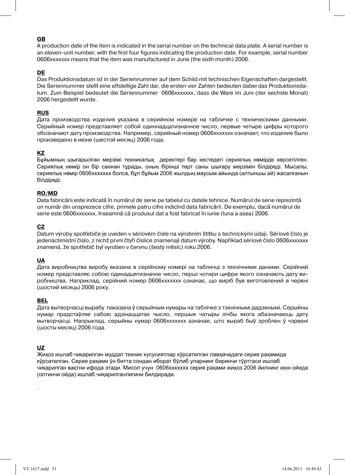## **GB**

A production date of the item is indicated in the serial number on the technical data plate. A serial number is an eleven-unit number, with the first four figures indicating the production date. For example, serial number 0606ххххххх means that the item was manufactured in June (the sixth month) 2006.

#### **DE**

Das Produktionsdatum ist in der Seriennummer auf dem Schild mit technischen Eigenschaften dargestellt. Die Seriennummer stellt eine elfstellige Zahl dar, die ersten vier Zahlen bedeuten dabei das Produktionsdatum. Zum Beispiel bedeutet die Seriennummer 0606xxxxxxx, dass die Ware im Juni (der sechste Monat) 2006 hergestellt wurde.

#### **RUS**

Дата производства изделия указана в серийном номере на табличке с техническими данными. Серийный номер представляет собой одиннадцатизначное число, первые четыре цифры которого обозначают дату производства. Например, серийный номер 0606ххххххх означает, что изделие было произведено в июне (шестой месяц) 2006 года.

#### **KZ**

Бұйымның шығарылған мерзімі техникалық деректері бар кестедегі сериялық нөмірде көрсетілген. Сериялық нөмір он бір саннан тұрады, оның бірінші төрт саны шығару мерзімін білдіреді. Мысалы, сериялық нөмір 0606ххххххх болса, бұл бұйым 2006 жылдың маусым айында (алтыншы ай) жасалғанын білдіреді.

#### **RO/MD**

Data fabricării este indicată în numărul de serie pe tabelul cu datele tehnice. Numărul de serie reprezintă un număr din unsprezece cifre, primele patru cifre indicînd data fabricării. De exemplu, dacă numărul de serie este 0606xxxxxxx, înseamnă că produsul dat a fost fabricat în iunie (luna a asea) 2006.

## **CZ**

Datum výroby spotřebiče je uveden v sériovém čísle na výrobním štítku s technickými údaji. Sériové číslo je jedenáctimístní číslo, z nichž první čtyři číslice znamenají datum výroby. Například sériové číslo 0606xxxxxxx znamená, že spotřebič byl vyroben v červnu (šestý měsíc) roku 2006.

#### **UA**

Дата виробництва виробу вказана в серійному номері на табличці з технічними даними. Серійний номер представляє собою одинадцятизначне число, перші чотири цифри якого означають дату виробництва. Наприклад, серійний номер 0606ххххххх означає, що виріб був виготовлений в червні (шостий місяць) 2006 року.

#### **BEL**

Дата вытворчасці вырабу паказана ў серыйным нумары на таблічке з тэхнічнымі дадзенымі. Серыйны нумар прадстаўляе сабою адзінаццатае чысло, першыя чатыры лічбы якога абазначаюць дату вытворчасці. Напрыклад, серыйны нумар 0606ххххххх азначае, што выраб быў зроблен ў чэрвені (шосты месяц) 2006 года.

### **UZ**

.

Жиҳоз ишлаб чиқарилган муддат техник хусусиятлар кўрсатилган лавҳачадаги серия рақамида кўрсатилган. Серия рақами ўн битта сондан иборат бўлиб уларнинг биринчи тўрттаси ишлаб чиқарилган вақтни ифода этади. Мисол учун 0606ххххххх серия рақами жиҳоз 2006 йилнинг июн ойида (олтинчи ойда) ишлаб чиқарилганлигини билдиради.